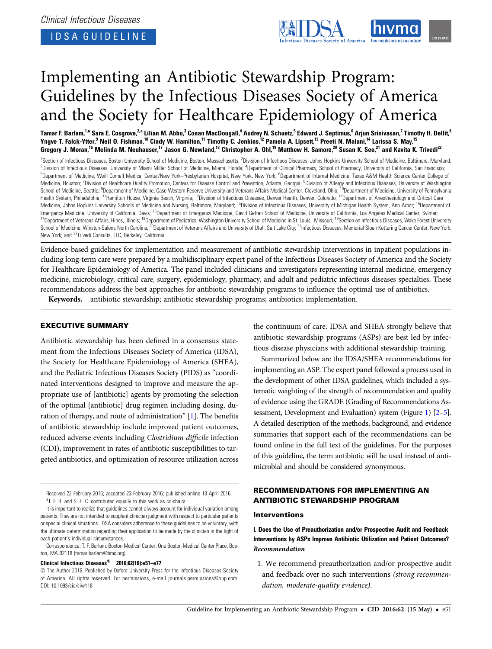

# Implementing an Antibiotic Stewardship Program: Guidelines by the Infectious Diseases Society of America and the Society for Healthcare Epidemiology of America

Tamar F. Barlam,<sup>1,a</sup> Sara E. Cosgrove,<sup>2,a</sup> Lilian M. Abbo,<sup>3</sup> Conan MacDougall,<sup>4</sup> Audrey N. Schuetz,<sup>5</sup> Edward J. Septimus,<sup>6</sup> Arjun Srinivasan,<sup>7</sup> Timothy H. Dellit,<sup>8</sup> Yngve T. Falck-Ytter,<sup>9</sup> Neil O. Fishman,<sup>10</sup> Cindy W. Hamilton,<sup>11</sup> Timothy C. Jenkins,<sup>12</sup> Pamela A. Lipsett,<sup>13</sup> Preeti N. Malani,<sup>14</sup> Larissa S. May,<sup>15</sup> Gregory J. Moran,<sup>16</sup> Melinda M. Neuhauser,<sup>17</sup> Jason G. Newland,<sup>18</sup> Christopher A. Ohl,<sup>19</sup> Matthew H. Samore,<sup>20</sup> Susan K. Seo,<sup>21</sup> and Kavita K. Trivedi<sup>22</sup>

<sup>1</sup>Section of Infectious Diseases, Boston University School of Medicine, Boston, Massachusetts; <sup>2</sup>Division of Infectious Diseases, Johns Hopkins University School of Medicine, Baltimore, Maryland; a<br><sup>3</sup>Division of Infectious Diseases, University of Miami Miller School of Medicine, Miami, Florida; <sup>4</sup>Department of Clinical Pharmacy, School of Pharmacy, University of California, San Francisco; <sup>5</sup>Department of Medicine, Weill Cornell Medical Center/New York–Presbyterian Hospital, New York, New York; <sup>6</sup>Department of Internal Medicine, Texas A&M Health Science Center College of Medicine, Houston; <sup>7</sup>Division of Healthcare Quality Promotion, Centers for Disease Control and Prevention, Atlanta, Georgia; <sup>8</sup>Division of Allergy and Infectious Diseases, University of Washington School of Medicine, Seattle; <sup>9</sup>Department of Medicine, Case Western Reserve University and Veterans Affairs Medical Center, Cleveland, Ohio; <sup>10</sup>Department of Medicine, University of Pennsylvania Health System, Philadelphia; <sup>11</sup>Hamilton House, Virginia Beach, Virginia; <sup>12</sup>Division of Infectious Diseases, Denver Health, Denver, Colorado; <sup>13</sup>Department of Anesthesiology and Critical Care Medicine, Johns Hopkins University Schools of Medicine and Nursing, Baltimore, Maryland; <sup>14</sup>Division of Infectious Diseases, University of Michigan Health System, Ann Arbor; <sup>15</sup>Department of Emergency Medicine, University of California, Davis; <sup>16</sup>Department of Emergency Medicine, David Geffen School of Medicine, University of California, Los Angeles Medical Center, Sylmar; <sup>17</sup>Department of Veterans Affairs, Hines, Illinois; <sup>18</sup>Department of Pediatrics, Washington University School of Medicine in St. Louis, Missouri; <sup>19</sup>Section on Infectious Diseases, Wake Forest University School of Medicine, Winston-Salem, North Carolina; <sup>20</sup>Department of Veterans Affairs and University of Utah, Salt Lake City; <sup>21</sup>Infectious Diseases, Memorial Sloan Kettering Cancer Center, New York, New York; and 22Trivedi Consults, LLC, Berkeley, California

Evidence-based guidelines for implementation and measurement of antibiotic stewardship interventions in inpatient populations including long-term care were prepared by a multidisciplinary expert panel of the Infectious Diseases Society of America and the Society for Healthcare Epidemiology of America. The panel included clinicians and investigators representing internal medicine, emergency medicine, microbiology, critical care, surgery, epidemiology, pharmacy, and adult and pediatric infectious diseases specialties. These recommendations address the best approaches for antibiotic stewardship programs to influence the optimal use of antibiotics.

Keywords. antibiotic stewardship; antibiotic stewardship programs; antibiotics; implementation.

## EXECUTIVE SUMMARY

Antibiotic stewardship has been defined in a consensus statement from the Infectious Diseases Society of America (IDSA), the Society for Healthcare Epidemiology of America (SHEA), and the Pediatric Infectious Diseases Society (PIDS) as "coordinated interventions designed to improve and measure the appropriate use of [antibiotic] agents by promoting the selection of the optimal [antibiotic] drug regimen including dosing, duration of therapy, and route of administration" [\[1\]](#page-22-0). The benefits of antibiotic stewardship include improved patient outcomes, reduced adverse events including Clostridium difficile infection (CDI), improvement in rates of antibiotic susceptibilities to targeted antibiotics, and optimization of resource utilization across

Correspondence: T. F. Barlam, Boston Medical Center, One Boston Medical Center Place, Boston, MA 02118 ([tamar.barlam@bmc.org\)](mailto:tamar.barlam@bmc.org).

#### Clinical Infectious Diseases® 2016;62(10):e51–e77

the continuum of care. IDSA and SHEA strongly believe that antibiotic stewardship programs (ASPs) are best led by infectious disease physicians with additional stewardship training.

Summarized below are the IDSA/SHEA recommendations for implementing an ASP. The expert panel followed a process used in the development of other IDSA guidelines, which included a systematic weighting of the strength of recommendation and quality of evidence using the GRADE (Grading of Recommendations Assessment, Development and Evaluation) system (Figure [1](#page-1-0)) [\[2](#page-22-0)–[5\]](#page-22-0). A detailed description of the methods, background, and evidence summaries that support each of the recommendations can be found online in the full text of the guidelines. For the purposes of this guideline, the term antibiotic will be used instead of antimicrobial and should be considered synonymous.

# RECOMMENDATIONS FOR IMPLEMENTING AN ANTIBIOTIC STEWARDSHIP PROGRAM

#### Interventions

I. Does the Use of Preauthorization and/or Prospective Audit and Feedback Interventions by ASPs Improve Antibiotic Utilization and Patient Outcomes? Recommendation

1. We recommend preauthorization and/or prospective audit and feedback over no such interventions (strong recommendation, moderate-quality evidence).

Received 22 February 2016; accepted 23 February 2016; published online 13 April 2016. <sup>a</sup>T. F. B. and S. E. C. contributed equally to this work as co-chairs.

It is important to realize that guidelines cannot always account for individual variation among patients. They are not intended to supplant clinician judgment with respect to particular patients or special clinical situations. IDSA considers adherence to these guidelines to be voluntary, with the ultimate determination regarding their application to be made by the clinician in the light of each patient's individual circumstances.

<sup>©</sup> The Author 2016. Published by Oxford University Press for the Infectious Diseases Society of America. All rights reserved. For permissions, e-mail [journals.permissions@oup.com](mailto:journals.permissions@oup.com). DOI: 10.1093/cid/ciw118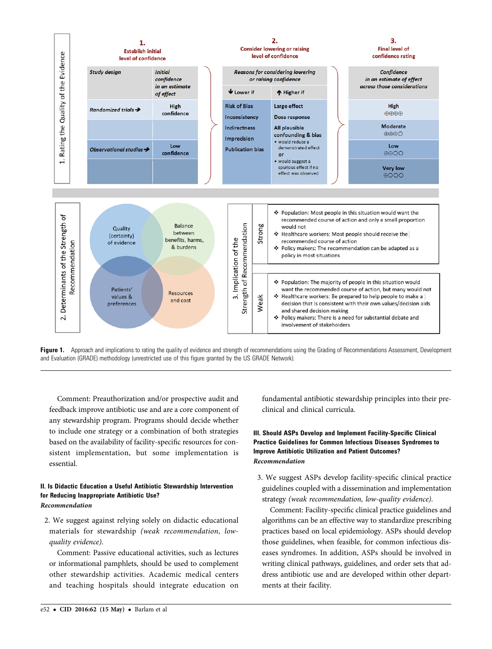<span id="page-1-0"></span>

Figure 1. Approach and implications to rating the quality of evidence and strength of recommendations using the Grading of Recommendations Assessment, Development and Evaluation (GRADE) methodology (unrestricted use of this figure granted by the US GRADE Network).

Comment: Preauthorization and/or prospective audit and feedback improve antibiotic use and are a core component of any stewardship program. Programs should decide whether to include one strategy or a combination of both strategies based on the availability of facility-specific resources for consistent implementation, but some implementation is essential.

#### II. Is Didactic Education a Useful Antibiotic Stewardship Intervention for Reducing Inappropriate Antibiotic Use? Recommendation

2. We suggest against relying solely on didactic educational materials for stewardship (weak recommendation, lowquality evidence).

Comment: Passive educational activities, such as lectures or informational pamphlets, should be used to complement other stewardship activities. Academic medical centers and teaching hospitals should integrate education on fundamental antibiotic stewardship principles into their preclinical and clinical curricula.

# III. Should ASPs Develop and Implement Facility-Specific Clinical Practice Guidelines for Common Infectious Diseases Syndromes to Improve Antibiotic Utilization and Patient Outcomes? Recommendation

3. We suggest ASPs develop facility-specific clinical practice guidelines coupled with a dissemination and implementation strategy (weak recommendation, low-quality evidence).

Comment: Facility-specific clinical practice guidelines and algorithms can be an effective way to standardize prescribing practices based on local epidemiology. ASPs should develop those guidelines, when feasible, for common infectious diseases syndromes. In addition, ASPs should be involved in writing clinical pathways, guidelines, and order sets that address antibiotic use and are developed within other departments at their facility.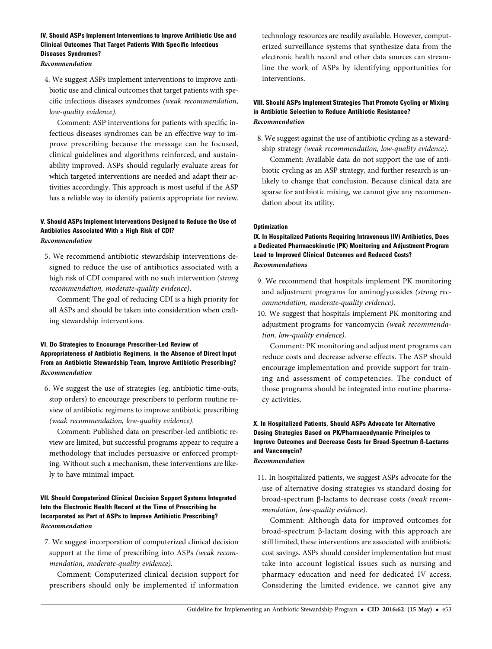#### IV. Should ASPs Implement Interventions to Improve Antibiotic Use and Clinical Outcomes That Target Patients With Specific Infectious Diseases Syndromes? Recommendation

4. We suggest ASPs implement interventions to improve antibiotic use and clinical outcomes that target patients with specific infectious diseases syndromes (weak recommendation, low-quality evidence).

Comment: ASP interventions for patients with specific infectious diseases syndromes can be an effective way to improve prescribing because the message can be focused, clinical guidelines and algorithms reinforced, and sustainability improved. ASPs should regularly evaluate areas for which targeted interventions are needed and adapt their activities accordingly. This approach is most useful if the ASP has a reliable way to identify patients appropriate for review.

#### V. Should ASPs Implement Interventions Designed to Reduce the Use of Antibiotics Associated With a High Risk of CDI? Recommendation

5. We recommend antibiotic stewardship interventions designed to reduce the use of antibiotics associated with a high risk of CDI compared with no such intervention (strong recommendation, moderate-quality evidence).

Comment: The goal of reducing CDI is a high priority for all ASPs and should be taken into consideration when crafting stewardship interventions.

# VI. Do Strategies to Encourage Prescriber-Led Review of Appropriateness of Antibiotic Regimens, in the Absence of Direct Input From an Antibiotic Stewardship Team, Improve Antibiotic Prescribing? Recommendation

6. We suggest the use of strategies (eg, antibiotic time-outs, stop orders) to encourage prescribers to perform routine review of antibiotic regimens to improve antibiotic prescribing (weak recommendation, low-quality evidence).

Comment: Published data on prescriber-led antibiotic review are limited, but successful programs appear to require a methodology that includes persuasive or enforced prompting. Without such a mechanism, these interventions are likely to have minimal impact.

# VII. Should Computerized Clinical Decision Support Systems Integrated Into the Electronic Health Record at the Time of Prescribing be Incorporated as Part of ASPs to Improve Antibiotic Prescribing? Recommendation

7. We suggest incorporation of computerized clinical decision support at the time of prescribing into ASPs (weak recommendation, moderate-quality evidence).

Comment: Computerized clinical decision support for prescribers should only be implemented if information

technology resources are readily available. However, computerized surveillance systems that synthesize data from the electronic health record and other data sources can streamline the work of ASPs by identifying opportunities for interventions.

# VIII. Should ASPs Implement Strategies That Promote Cycling or Mixing in Antibiotic Selection to Reduce Antibiotic Resistance? Recommendation

8. We suggest against the use of antibiotic cycling as a stewardship strategy (weak recommendation, low-quality evidence).

Comment: Available data do not support the use of antibiotic cycling as an ASP strategy, and further research is unlikely to change that conclusion. Because clinical data are sparse for antibiotic mixing, we cannot give any recommendation about its utility.

# **Optimization**

IX. In Hospitalized Patients Requiring Intravenous (IV) Antibiotics, Does a Dedicated Pharmacokinetic (PK) Monitoring and Adjustment Program Lead to Improved Clinical Outcomes and Reduced Costs? Recommendations

- 9. We recommend that hospitals implement PK monitoring and adjustment programs for aminoglycosides (strong recommendation, moderate-quality evidence).
- 10. We suggest that hospitals implement PK monitoring and adjustment programs for vancomycin (weak recommendation, low-quality evidence).

Comment: PK monitoring and adjustment programs can reduce costs and decrease adverse effects. The ASP should encourage implementation and provide support for training and assessment of competencies. The conduct of those programs should be integrated into routine pharmacy activities.

# X. In Hospitalized Patients, Should ASPs Advocate for Alternative Dosing Strategies Based on PK/Pharmacodynamic Principles to Improve Outcomes and Decrease Costs for Broad-Spectrum ß-Lactams and Vancomycin? Recommendation

# 11. In hospitalized patients, we suggest ASPs advocate for the use of alternative dosing strategies vs standard dosing for broad-spectrum β-lactams to decrease costs (weak recommendation, low-quality evidence).

Comment: Although data for improved outcomes for broad-spectrum β-lactam dosing with this approach are still limited, these interventions are associated with antibiotic cost savings. ASPs should consider implementation but must take into account logistical issues such as nursing and pharmacy education and need for dedicated IV access. Considering the limited evidence, we cannot give any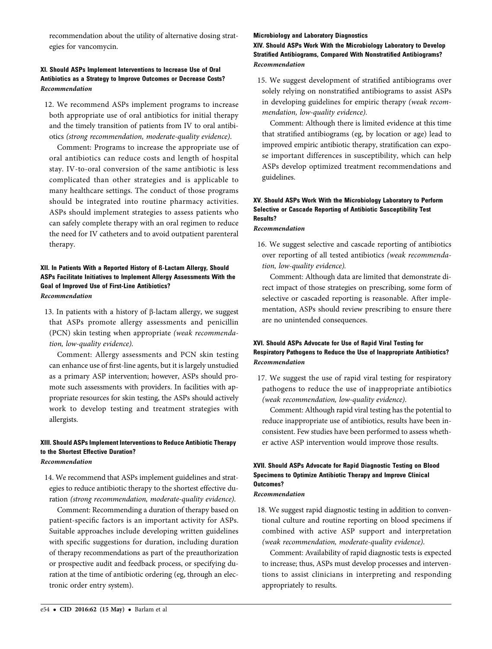recommendation about the utility of alternative dosing strategies for vancomycin.

#### XI. Should ASPs Implement Interventions to Increase Use of Oral Antibiotics as a Strategy to Improve Outcomes or Decrease Costs? Recommendation

12. We recommend ASPs implement programs to increase both appropriate use of oral antibiotics for initial therapy and the timely transition of patients from IV to oral antibiotics (strong recommendation, moderate-quality evidence).

Comment: Programs to increase the appropriate use of oral antibiotics can reduce costs and length of hospital stay. IV-to-oral conversion of the same antibiotic is less complicated than other strategies and is applicable to many healthcare settings. The conduct of those programs should be integrated into routine pharmacy activities. ASPs should implement strategies to assess patients who can safely complete therapy with an oral regimen to reduce the need for IV catheters and to avoid outpatient parenteral therapy.

#### XII. In Patients With a Reported History of ß-Lactam Allergy, Should ASPs Facilitate Initiatives to Implement Allergy Assessments With the Goal of Improved Use of First-Line Antibiotics? Recommendation

13. In patients with a history of β-lactam allergy, we suggest that ASPs promote allergy assessments and penicillin (PCN) skin testing when appropriate (weak recommendation, low-quality evidence).

Comment: Allergy assessments and PCN skin testing can enhance use of first-line agents, but it is largely unstudied as a primary ASP intervention; however, ASPs should promote such assessments with providers. In facilities with appropriate resources for skin testing, the ASPs should actively work to develop testing and treatment strategies with allergists.

# XIII. Should ASPs Implement Interventions to Reduce Antibiotic Therapy to the Shortest Effective Duration?

# Recommendation

14. We recommend that ASPs implement guidelines and strategies to reduce antibiotic therapy to the shortest effective duration (strong recommendation, moderate-quality evidence).

Comment: Recommending a duration of therapy based on patient-specific factors is an important activity for ASPs. Suitable approaches include developing written guidelines with specific suggestions for duration, including duration of therapy recommendations as part of the preauthorization or prospective audit and feedback process, or specifying duration at the time of antibiotic ordering (eg, through an electronic order entry system).

#### Microbiology and Laboratory Diagnostics

XIV. Should ASPs Work With the Microbiology Laboratory to Develop Stratified Antibiograms, Compared With Nonstratified Antibiograms? Recommendation

15. We suggest development of stratified antibiograms over solely relying on nonstratified antibiograms to assist ASPs in developing guidelines for empiric therapy (weak recommendation, low-quality evidence).

Comment: Although there is limited evidence at this time that stratified antibiograms (eg, by location or age) lead to improved empiric antibiotic therapy, stratification can expose important differences in susceptibility, which can help ASPs develop optimized treatment recommendations and guidelines.

# XV. Should ASPs Work With the Microbiology Laboratory to Perform Selective or Cascade Reporting of Antibiotic Susceptibility Test Results?

# Recommendation

16. We suggest selective and cascade reporting of antibiotics over reporting of all tested antibiotics (weak recommendation, low-quality evidence).

Comment: Although data are limited that demonstrate direct impact of those strategies on prescribing, some form of selective or cascaded reporting is reasonable. After implementation, ASPs should review prescribing to ensure there are no unintended consequences.

# XVI. Should ASPs Advocate for Use of Rapid Viral Testing for Respiratory Pathogens to Reduce the Use of Inappropriate Antibiotics? Recommendation

17. We suggest the use of rapid viral testing for respiratory pathogens to reduce the use of inappropriate antibiotics (weak recommendation, low-quality evidence).

Comment: Although rapid viral testing has the potential to reduce inappropriate use of antibiotics, results have been inconsistent. Few studies have been performed to assess whether active ASP intervention would improve those results.

# XVII. Should ASPs Advocate for Rapid Diagnostic Testing on Blood Specimens to Optimize Antibiotic Therapy and Improve Clinical Outcomes?

#### Recommendation

18. We suggest rapid diagnostic testing in addition to conventional culture and routine reporting on blood specimens if combined with active ASP support and interpretation (weak recommendation, moderate-quality evidence).

Comment: Availability of rapid diagnostic tests is expected to increase; thus, ASPs must develop processes and interventions to assist clinicians in interpreting and responding appropriately to results.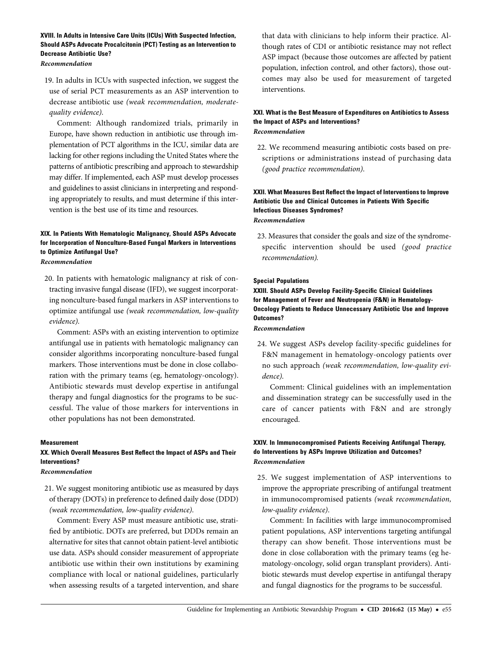XVIII. In Adults in Intensive Care Units (ICUs) With Suspected Infection, Should ASPs Advocate Procalcitonin (PCT) Testing as an Intervention to Decrease Antibiotic Use? Recommendation

19. In adults in ICUs with suspected infection, we suggest the use of serial PCT measurements as an ASP intervention to decrease antibiotic use (weak recommendation, moderatequality evidence).

Comment: Although randomized trials, primarily in Europe, have shown reduction in antibiotic use through implementation of PCT algorithms in the ICU, similar data are lacking for other regions including the United States where the patterns of antibiotic prescribing and approach to stewardship may differ. If implemented, each ASP must develop processes and guidelines to assist clinicians in interpreting and responding appropriately to results, and must determine if this intervention is the best use of its time and resources.

# XIX. In Patients With Hematologic Malignancy, Should ASPs Advocate for Incorporation of Nonculture-Based Fungal Markers in Interventions to Optimize Antifungal Use?

Recommendation

20. In patients with hematologic malignancy at risk of contracting invasive fungal disease (IFD), we suggest incorporating nonculture-based fungal markers in ASP interventions to optimize antifungal use (weak recommendation, low-quality evidence).

Comment: ASPs with an existing intervention to optimize antifungal use in patients with hematologic malignancy can consider algorithms incorporating nonculture-based fungal markers. Those interventions must be done in close collaboration with the primary teams (eg, hematology-oncology). Antibiotic stewards must develop expertise in antifungal therapy and fungal diagnostics for the programs to be successful. The value of those markers for interventions in other populations has not been demonstrated.

#### Measurement

# XX. Which Overall Measures Best Reflect the Impact of ASPs and Their Interventions?

#### Recommendation

21. We suggest monitoring antibiotic use as measured by days of therapy (DOTs) in preference to defined daily dose (DDD) (weak recommendation, low-quality evidence).

Comment: Every ASP must measure antibiotic use, stratified by antibiotic. DOTs are preferred, but DDDs remain an alternative for sites that cannot obtain patient-level antibiotic use data. ASPs should consider measurement of appropriate antibiotic use within their own institutions by examining compliance with local or national guidelines, particularly when assessing results of a targeted intervention, and share

that data with clinicians to help inform their practice. Although rates of CDI or antibiotic resistance may not reflect ASP impact (because those outcomes are affected by patient population, infection control, and other factors), those outcomes may also be used for measurement of targeted interventions.

# XXI. What is the Best Measure of Expenditures on Antibiotics to Assess the Impact of ASPs and Interventions? Recommendation

22. We recommend measuring antibiotic costs based on prescriptions or administrations instead of purchasing data (good practice recommendation).

## XXII. What Measures Best Reflect the Impact of Interventions to Improve Antibiotic Use and Clinical Outcomes in Patients With Specific Infectious Diseases Syndromes? Recommendation

23. Measures that consider the goals and size of the syndromespecific intervention should be used (good practice recommendation).

#### Special Populations

# XXIII. Should ASPs Develop Facility-Specific Clinical Guidelines for Management of Fever and Neutropenia (F&N) in Hematology-Oncology Patients to Reduce Unnecessary Antibiotic Use and Improve Outcomes?

#### Recommendation

24. We suggest ASPs develop facility-specific guidelines for F&N management in hematology-oncology patients over no such approach (weak recommendation, low-quality evidence).

Comment: Clinical guidelines with an implementation and dissemination strategy can be successfully used in the care of cancer patients with F&N and are strongly encouraged.

#### XXIV. In Immunocompromised Patients Receiving Antifungal Therapy, do Interventions by ASPs Improve Utilization and Outcomes? Recommendation

25. We suggest implementation of ASP interventions to improve the appropriate prescribing of antifungal treatment in immunocompromised patients (weak recommendation, low-quality evidence).

Comment: In facilities with large immunocompromised patient populations, ASP interventions targeting antifungal therapy can show benefit. Those interventions must be done in close collaboration with the primary teams (eg hematology-oncology, solid organ transplant providers). Antibiotic stewards must develop expertise in antifungal therapy and fungal diagnostics for the programs to be successful.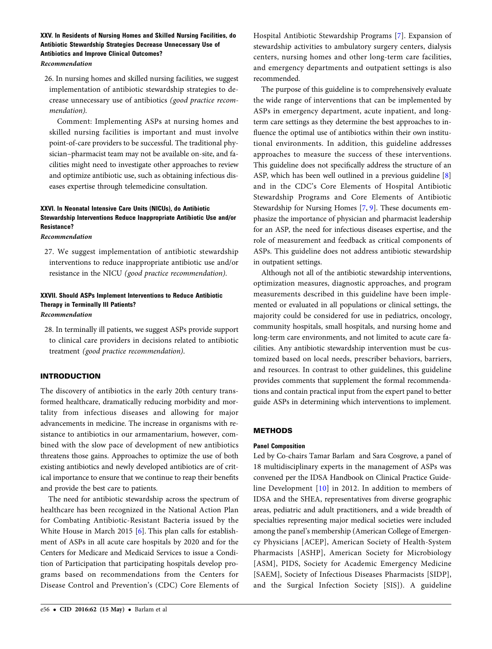## XXV. In Residents of Nursing Homes and Skilled Nursing Facilities, do Antibiotic Stewardship Strategies Decrease Unnecessary Use of Antibiotics and Improve Clinical Outcomes? Recommendation

26. In nursing homes and skilled nursing facilities, we suggest implementation of antibiotic stewardship strategies to decrease unnecessary use of antibiotics (good practice recommendation).

Comment: Implementing ASPs at nursing homes and skilled nursing facilities is important and must involve point-of-care providers to be successful. The traditional physician–pharmacist team may not be available on-site, and facilities might need to investigate other approaches to review and optimize antibiotic use, such as obtaining infectious diseases expertise through telemedicine consultation.

# XXVI. In Neonatal Intensive Care Units (NICUs), do Antibiotic Stewardship Interventions Reduce Inappropriate Antibiotic Use and/or Resistance?

Recommendation

27. We suggest implementation of antibiotic stewardship interventions to reduce inappropriate antibiotic use and/or resistance in the NICU (good practice recommendation).

## XXVII. Should ASPs Implement Interventions to Reduce Antibiotic Therapy in Terminally Ill Patients? Recommendation

28. In terminally ill patients, we suggest ASPs provide support to clinical care providers in decisions related to antibiotic treatment (good practice recommendation).

# INTRODUCTION

The discovery of antibiotics in the early 20th century transformed healthcare, dramatically reducing morbidity and mortality from infectious diseases and allowing for major advancements in medicine. The increase in organisms with resistance to antibiotics in our armamentarium, however, combined with the slow pace of development of new antibiotics threatens those gains. Approaches to optimize the use of both existing antibiotics and newly developed antibiotics are of critical importance to ensure that we continue to reap their benefits and provide the best care to patients.

The need for antibiotic stewardship across the spectrum of healthcare has been recognized in the National Action Plan for Combating Antibiotic-Resistant Bacteria issued by the White House in March 2015 [[6](#page-22-0)]. This plan calls for establishment of ASPs in all acute care hospitals by 2020 and for the Centers for Medicare and Medicaid Services to issue a Condition of Participation that participating hospitals develop programs based on recommendations from the Centers for Disease Control and Prevention's (CDC) Core Elements of Hospital Antibiotic Stewardship Programs [[7](#page-22-0)]. Expansion of stewardship activities to ambulatory surgery centers, dialysis centers, nursing homes and other long-term care facilities, and emergency departments and outpatient settings is also recommended.

The purpose of this guideline is to comprehensively evaluate the wide range of interventions that can be implemented by ASPs in emergency department, acute inpatient, and longterm care settings as they determine the best approaches to influence the optimal use of antibiotics within their own institutional environments. In addition, this guideline addresses approaches to measure the success of these interventions. This guideline does not specifically address the structure of an ASP, which has been well outlined in a previous guideline [\[8\]](#page-22-0) and in the CDC's Core Elements of Hospital Antibiotic Stewardship Programs and Core Elements of Antibiotic Stewardship for Nursing Homes [\[7,](#page-22-0) [9\]](#page-22-0). These documents emphasize the importance of physician and pharmacist leadership for an ASP, the need for infectious diseases expertise, and the role of measurement and feedback as critical components of ASPs. This guideline does not address antibiotic stewardship in outpatient settings.

Although not all of the antibiotic stewardship interventions, optimization measures, diagnostic approaches, and program measurements described in this guideline have been implemented or evaluated in all populations or clinical settings, the majority could be considered for use in pediatrics, oncology, community hospitals, small hospitals, and nursing home and long-term care environments, and not limited to acute care facilities. Any antibiotic stewardship intervention must be customized based on local needs, prescriber behaviors, barriers, and resources. In contrast to other guidelines, this guideline provides comments that supplement the formal recommendations and contain practical input from the expert panel to better guide ASPs in determining which interventions to implement.

# METHODS

# Panel Composition

Led by Co-chairs Tamar Barlam and Sara Cosgrove, a panel of 18 multidisciplinary experts in the management of ASPs was convened per the IDSA Handbook on Clinical Practice Guideline Development [[10](#page-22-0)] in 2012. In addition to members of IDSA and the SHEA, representatives from diverse geographic areas, pediatric and adult practitioners, and a wide breadth of specialties representing major medical societies were included among the panel's membership (American College of Emergency Physicians [ACEP], American Society of Health-System Pharmacists [ASHP], American Society for Microbiology [ASM], PIDS, Society for Academic Emergency Medicine [SAEM], Society of Infectious Diseases Pharmacists [SIDP], and the Surgical Infection Society [SIS]). A guideline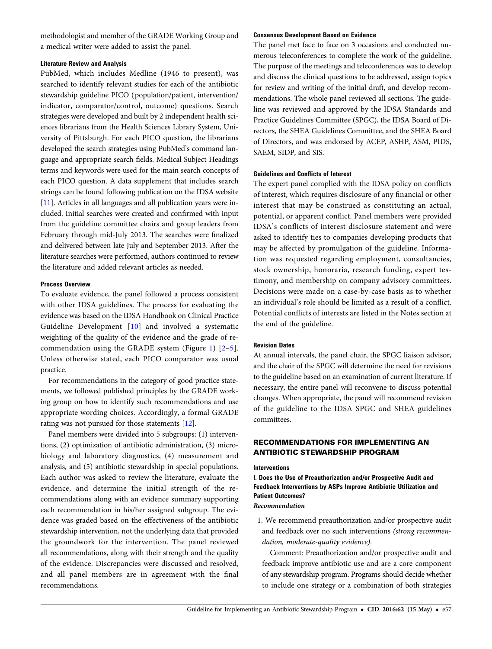methodologist and member of the GRADE Working Group and a medical writer were added to assist the panel.

# Literature Review and Analysis

PubMed, which includes Medline (1946 to present), was searched to identify relevant studies for each of the antibiotic stewardship guideline PICO ( population/patient, intervention/ indicator, comparator/control, outcome) questions. Search strategies were developed and built by 2 independent health sciences librarians from the Health Sciences Library System, University of Pittsburgh. For each PICO question, the librarians developed the search strategies using PubMed's command language and appropriate search fields. Medical Subject Headings terms and keywords were used for the main search concepts of each PICO question. A data supplement that includes search strings can be found following publication on the IDSA website [\[11](#page-22-0)]. Articles in all languages and all publication years were included. Initial searches were created and confirmed with input from the guideline committee chairs and group leaders from February through mid-July 2013. The searches were finalized and delivered between late July and September 2013. After the literature searches were performed, authors continued to review the literature and added relevant articles as needed.

#### Process Overview

To evaluate evidence, the panel followed a process consistent with other IDSA guidelines. The process for evaluating the evidence was based on the IDSA Handbook on Clinical Practice Guideline Development [[10](#page-22-0)] and involved a systematic weighting of the quality of the evidence and the grade of re-commendation using the GRADE system (Figure [1](#page-1-0))  $[2-5]$  $[2-5]$  $[2-5]$  $[2-5]$  $[2-5]$ . Unless otherwise stated, each PICO comparator was usual practice.

For recommendations in the category of good practice statements, we followed published principles by the GRADE working group on how to identify such recommendations and use appropriate wording choices. Accordingly, a formal GRADE rating was not pursued for those statements [[12\]](#page-22-0).

Panel members were divided into 5 subgroups: (1) interventions, (2) optimization of antibiotic administration, (3) microbiology and laboratory diagnostics, (4) measurement and analysis, and (5) antibiotic stewardship in special populations. Each author was asked to review the literature, evaluate the evidence, and determine the initial strength of the recommendations along with an evidence summary supporting each recommendation in his/her assigned subgroup. The evidence was graded based on the effectiveness of the antibiotic stewardship intervention, not the underlying data that provided the groundwork for the intervention. The panel reviewed all recommendations, along with their strength and the quality of the evidence. Discrepancies were discussed and resolved, and all panel members are in agreement with the final recommendations.

# Consensus Development Based on Evidence

The panel met face to face on 3 occasions and conducted numerous teleconferences to complete the work of the guideline. The purpose of the meetings and teleconferences was to develop and discuss the clinical questions to be addressed, assign topics for review and writing of the initial draft, and develop recommendations. The whole panel reviewed all sections. The guideline was reviewed and approved by the IDSA Standards and Practice Guidelines Committee (SPGC), the IDSA Board of Directors, the SHEA Guidelines Committee, and the SHEA Board of Directors, and was endorsed by ACEP, ASHP, ASM, PIDS, SAEM, SIDP, and SIS.

#### Guidelines and Conflicts of Interest

The expert panel complied with the IDSA policy on conflicts of interest, which requires disclosure of any financial or other interest that may be construed as constituting an actual, potential, or apparent conflict. Panel members were provided IDSA's conflicts of interest disclosure statement and were asked to identify ties to companies developing products that may be affected by promulgation of the guideline. Information was requested regarding employment, consultancies, stock ownership, honoraria, research funding, expert testimony, and membership on company advisory committees. Decisions were made on a case-by-case basis as to whether an individual's role should be limited as a result of a conflict. Potential conflicts of interests are listed in the Notes section at the end of the guideline.

#### Revision Dates

At annual intervals, the panel chair, the SPGC liaison advisor, and the chair of the SPGC will determine the need for revisions to the guideline based on an examination of current literature. If necessary, the entire panel will reconvene to discuss potential changes. When appropriate, the panel will recommend revision of the guideline to the IDSA SPGC and SHEA guidelines committees.

# RECOMMENDATIONS FOR IMPLEMENTING AN ANTIBIOTIC STEWARDSHIP PROGRAM

#### Interventions

I. Does the Use of Preauthorization and/or Prospective Audit and Feedback Interventions by ASPs Improve Antibiotic Utilization and Patient Outcomes? Recommendation

1. We recommend preauthorization and/or prospective audit and feedback over no such interventions (strong recommendation, moderate-quality evidence).

Comment: Preauthorization and/or prospective audit and feedback improve antibiotic use and are a core component of any stewardship program. Programs should decide whether to include one strategy or a combination of both strategies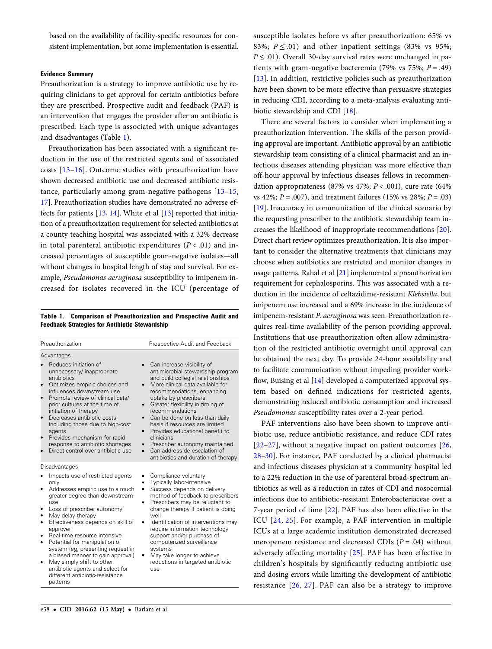based on the availability of facility-specific resources for consistent implementation, but some implementation is essential.

# Evidence Summary

Preauthorization is a strategy to improve antibiotic use by requiring clinicians to get approval for certain antibiotics before they are prescribed. Prospective audit and feedback (PAF) is an intervention that engages the provider after an antibiotic is prescribed. Each type is associated with unique advantages and disadvantages (Table 1).

Preauthorization has been associated with a significant reduction in the use of the restricted agents and of associated costs [[13](#page-22-0)–[16](#page-22-0)]. Outcome studies with preauthorization have shown decreased antibiotic use and decreased antibiotic resistance, particularly among gram-negative pathogens [[13](#page-22-0)–[15,](#page-22-0) [17](#page-22-0)]. Preauthorization studies have demonstrated no adverse effects for patients  $[13, 14]$  $[13, 14]$  $[13, 14]$  $[13, 14]$  $[13, 14]$ . White et al  $[13]$  $[13]$  reported that initiation of a preauthorization requirement for selected antibiotics at a county teaching hospital was associated with a 32% decrease in total parenteral antibiotic expenditures  $(P < .01)$  and increased percentages of susceptible gram-negative isolates—all without changes in hospital length of stay and survival. For example, Pseudomonas aeruginosa susceptibility to imipenem increased for isolates recovered in the ICU (percentage of

Table 1. Comparison of Preauthorization and Prospective Audit and Feedback Strategies for Antibiotic Stewardship

| Preauthorization                                                                                                                                                                                                                                                                                                                                                                                                                                                                                            | Prospective Audit and Feedback                                                                                                                                                                                                                                                                                                                                                                                                                                                                                                                                     |
|-------------------------------------------------------------------------------------------------------------------------------------------------------------------------------------------------------------------------------------------------------------------------------------------------------------------------------------------------------------------------------------------------------------------------------------------------------------------------------------------------------------|--------------------------------------------------------------------------------------------------------------------------------------------------------------------------------------------------------------------------------------------------------------------------------------------------------------------------------------------------------------------------------------------------------------------------------------------------------------------------------------------------------------------------------------------------------------------|
| Advantages                                                                                                                                                                                                                                                                                                                                                                                                                                                                                                  |                                                                                                                                                                                                                                                                                                                                                                                                                                                                                                                                                                    |
| Reduces initiation of<br>unnecessary/inappropriate<br>antibiotics<br>Optimizes empiric choices and<br>influences downstream use<br>Prompts review of clinical data/<br>prior cultures at the time of<br>initiation of therapy<br>Decreases antibiotic costs,<br>including those due to high-cost<br>agents<br>Provides mechanism for rapid<br>response to antibiotic shortages<br>Direct control over antibiotic use                                                                                        | Can increase visibility of<br>antimicrobial stewardship program<br>and build collegial relationships<br>More clinical data available for<br>$\bullet$<br>recommendations, enhancing<br>uptake by prescribers<br>Greater flexibility in timing of<br>$\bullet$<br>recommendations<br>Can be done on less than daily<br>$\bullet$<br>basis if resources are limited<br>Provides educational benefit to<br>$\bullet$<br>clinicians<br>Prescriber autonomy maintained<br>$\bullet$<br>Can address de-escalation of<br>$\bullet$<br>antibiotics and duration of therapy |
| Disadvantages                                                                                                                                                                                                                                                                                                                                                                                                                                                                                               |                                                                                                                                                                                                                                                                                                                                                                                                                                                                                                                                                                    |
| Impacts use of restricted agents<br>only<br>Addresses empiric use to a much<br>greater degree than downstream<br>use<br>Loss of prescriber autonomy<br>May delay therapy<br>٠<br>Effectiveness depends on skill of<br>٠<br>approver<br>Real-time resource intensive<br>Potential for manipulation of<br>$\bullet$<br>system (eg, presenting request in<br>a biased manner to gain approval)<br>May simply shift to other<br>antibiotic agents and select for<br>different antibiotic-resistance<br>patterns | Compliance voluntary<br>Typically labor-intensive<br>Success depends on delivery<br>٠<br>method of feedback to prescribers<br>Prescribers may be reluctant to<br>$\bullet$<br>change therapy if patient is doing<br>well<br>Identification of interventions may<br>require information technology<br>support and/or purchase of<br>computerized surveillance<br>systems<br>May take longer to achieve<br>reductions in targeted antibiotic<br>use                                                                                                                  |

susceptible isolates before vs after preauthorization: 65% vs 83%;  $P \leq .01$ ) and other inpatient settings (83% vs 95%;  $P \leq .01$ ). Overall 30-day survival rates were unchanged in patients with gram-negative bacteremia (79% vs 75%;  $P = .49$ ) [\[13\]](#page-22-0). In addition, restrictive policies such as preauthorization have been shown to be more effective than persuasive strategies in reducing CDI, according to a meta-analysis evaluating antibiotic stewardship and CDI [\[18](#page-22-0)].

There are several factors to consider when implementing a preauthorization intervention. The skills of the person providing approval are important. Antibiotic approval by an antibiotic stewardship team consisting of a clinical pharmacist and an infectious diseases attending physician was more effective than off-hour approval by infectious diseases fellows in recommendation appropriateness (87% vs 47%;  $P < .001$ ), cure rate (64% vs 42%;  $P = .007$ ), and treatment failures (15% vs 28%;  $P = .03$ ) [\[19](#page-22-0)]. Inaccuracy in communication of the clinical scenario by the requesting prescriber to the antibiotic stewardship team increases the likelihood of inappropriate recommendations [\[20\]](#page-22-0). Direct chart review optimizes preauthorization. It is also important to consider the alternative treatments that clinicians may choose when antibiotics are restricted and monitor changes in usage patterns. Rahal et al [\[21](#page-22-0)] implemented a preauthorization requirement for cephalosporins. This was associated with a reduction in the incidence of ceftazidime-resistant Klebsiella, but imipenem use increased and a 69% increase in the incidence of imipenem-resistant P. aeruginosa was seen. Preauthorization requires real-time availability of the person providing approval. Institutions that use preauthorization often allow administration of the restricted antibiotic overnight until approval can be obtained the next day. To provide 24-hour availability and to facilitate communication without impeding provider workflow, Buising et al  $[14]$  $[14]$  $[14]$  developed a computerized approval system based on defined indications for restricted agents, demonstrating reduced antibiotic consumption and increased Pseudomonas susceptibility rates over a 2-year period.

PAF interventions also have been shown to improve antibiotic use, reduce antibiotic resistance, and reduce CDI rates [\[22](#page-22-0)–[27\]](#page-22-0), without a negative impact on patient outcomes [\[26,](#page-22-0) [28](#page-22-0)–[30](#page-22-0)]. For instance, PAF conducted by a clinical pharmacist and infectious diseases physician at a community hospital led to a 22% reduction in the use of parenteral broad-spectrum antibiotics as well as a reduction in rates of CDI and nosocomial infections due to antibiotic-resistant Enterobacteriaceae over a 7-year period of time [\[22\]](#page-22-0). PAF has also been effective in the ICU [[24,](#page-22-0) [25](#page-22-0)]. For example, a PAF intervention in multiple ICUs at a large academic institution demonstrated decreased meropenem resistance and decreased CDIs  $(P = .04)$  without adversely affecting mortality [\[25\]](#page-22-0). PAF has been effective in children's hospitals by significantly reducing antibiotic use and dosing errors while limiting the development of antibiotic resistance  $[26, 27]$  $[26, 27]$  $[26, 27]$  $[26, 27]$ . PAF can also be a strategy to improve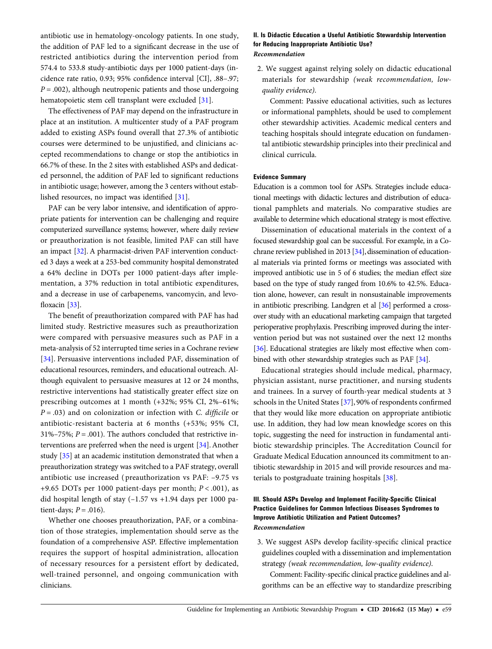antibiotic use in hematology-oncology patients. In one study, the addition of PAF led to a significant decrease in the use of restricted antibiotics during the intervention period from 574.4 to 533.8 study-antibiotic days per 1000 patient-days (incidence rate ratio, 0.93; 95% confidence interval [CI], .88–.97;  $P = .002$ ), although neutropenic patients and those undergoing hematopoietic stem cell transplant were excluded [[31](#page-22-0)].

The effectiveness of PAF may depend on the infrastructure in place at an institution. A multicenter study of a PAF program added to existing ASPs found overall that 27.3% of antibiotic courses were determined to be unjustified, and clinicians accepted recommendations to change or stop the antibiotics in 66.7% of these. In the 2 sites with established ASPs and dedicated personnel, the addition of PAF led to significant reductions in antibiotic usage; however, among the 3 centers without established resources, no impact was identified [\[31\]](#page-22-0).

PAF can be very labor intensive, and identification of appropriate patients for intervention can be challenging and require computerized surveillance systems; however, where daily review or preauthorization is not feasible, limited PAF can still have an impact [\[32](#page-22-0)]. A pharmacist-driven PAF intervention conducted 3 days a week at a 253-bed community hospital demonstrated a 64% decline in DOTs per 1000 patient-days after implementation, a 37% reduction in total antibiotic expenditures, and a decrease in use of carbapenems, vancomycin, and levo-floxacin [\[33\]](#page-22-0).

The benefit of preauthorization compared with PAF has had limited study. Restrictive measures such as preauthorization were compared with persuasive measures such as PAF in a meta-analysis of 52 interrupted time series in a Cochrane review [\[34](#page-22-0)]. Persuasive interventions included PAF, dissemination of educational resources, reminders, and educational outreach. Although equivalent to persuasive measures at 12 or 24 months, restrictive interventions had statistically greater effect size on prescribing outcomes at 1 month (+32%; 95% CI, 2%–61%;  $P = .03$ ) and on colonization or infection with C. difficile or antibiotic-resistant bacteria at 6 months (+53%; 95% CI, 31%–75%;  $P = .001$ ). The authors concluded that restrictive interventions are preferred when the need is urgent [\[34](#page-22-0)]. Another study [[35](#page-22-0)] at an academic institution demonstrated that when a preauthorization strategy was switched to a PAF strategy, overall antibiotic use increased ( preauthorization vs PAF: –9.75 vs +9.65 DOTs per 1000 patient-days per month;  $P < .001$ ), as did hospital length of stay (–1.57 vs +1.94 days per 1000 patient-days;  $P = .016$ ).

Whether one chooses preauthorization, PAF, or a combination of those strategies, implementation should serve as the foundation of a comprehensive ASP. Effective implementation requires the support of hospital administration, allocation of necessary resources for a persistent effort by dedicated, well-trained personnel, and ongoing communication with clinicians.

# II. Is Didactic Education a Useful Antibiotic Stewardship Intervention for Reducing Inappropriate Antibiotic Use? Recommendation

2. We suggest against relying solely on didactic educational materials for stewardship (weak recommendation, lowquality evidence).

Comment: Passive educational activities, such as lectures or informational pamphlets, should be used to complement other stewardship activities. Academic medical centers and teaching hospitals should integrate education on fundamental antibiotic stewardship principles into their preclinical and clinical curricula.

#### Evidence Summary

Education is a common tool for ASPs. Strategies include educational meetings with didactic lectures and distribution of educational pamphlets and materials. No comparative studies are available to determine which educational strategy is most effective.

Dissemination of educational materials in the context of a focused stewardship goal can be successful. For example, in a Cochrane review published in 2013 [\[34\]](#page-22-0), dissemination of educational materials via printed forms or meetings was associated with improved antibiotic use in 5 of 6 studies; the median effect size based on the type of study ranged from 10.6% to 42.5%. Education alone, however, can result in nonsustainable improvements in antibiotic prescribing. Landgren et al [\[36](#page-23-0)] performed a crossover study with an educational marketing campaign that targeted perioperative prophylaxis. Prescribing improved during the intervention period but was not sustained over the next 12 months [\[36](#page-23-0)]. Educational strategies are likely most effective when combined with other stewardship strategies such as PAF [\[34](#page-22-0)].

Educational strategies should include medical, pharmacy, physician assistant, nurse practitioner, and nursing students and trainees. In a survey of fourth-year medical students at 3 schools in the United States [\[37\]](#page-23-0), 90% of respondents confirmed that they would like more education on appropriate antibiotic use. In addition, they had low mean knowledge scores on this topic, suggesting the need for instruction in fundamental antibiotic stewardship principles. The Accreditation Council for Graduate Medical Education announced its commitment to antibiotic stewardship in 2015 and will provide resources and materials to postgraduate training hospitals [[38\]](#page-23-0).

#### III. Should ASPs Develop and Implement Facility-Specific Clinical Practice Guidelines for Common Infectious Diseases Syndromes to Improve Antibiotic Utilization and Patient Outcomes? Recommendation

3. We suggest ASPs develop facility-specific clinical practice guidelines coupled with a dissemination and implementation strategy (weak recommendation, low-quality evidence).

Comment: Facility-specific clinical practice guidelines and algorithms can be an effective way to standardize prescribing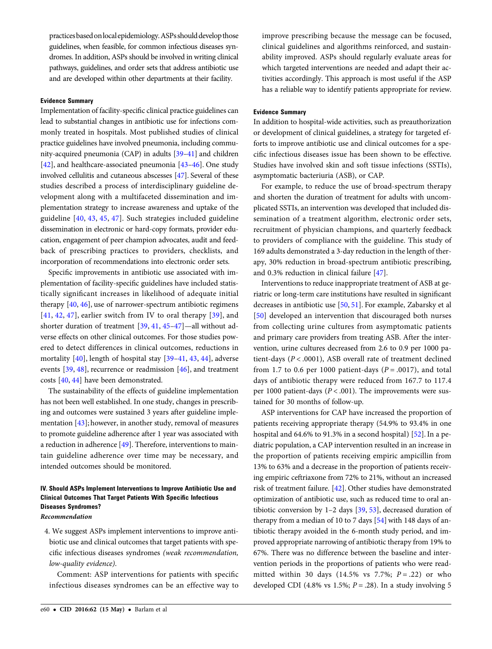practices based on local epidemiology. ASPs should develop those guidelines, when feasible, for common infectious diseases syndromes. In addition, ASPs should be involved in writing clinical pathways, guidelines, and order sets that address antibiotic use and are developed within other departments at their facility.

#### Evidence Summary

Implementation of facility-specific clinical practice guidelines can lead to substantial changes in antibiotic use for infections commonly treated in hospitals. Most published studies of clinical practice guidelines have involved pneumonia, including community-acquired pneumonia (CAP) in adults [\[39](#page-23-0)–[41](#page-23-0)] and children [\[42](#page-23-0)], and healthcare-associated pneumonia [\[43](#page-23-0)-[46\]](#page-23-0). One study involved cellulitis and cutaneous abscesses [[47\]](#page-23-0). Several of these studies described a process of interdisciplinary guideline development along with a multifaceted dissemination and implementation strategy to increase awareness and uptake of the guideline [[40](#page-23-0), [43](#page-23-0), [45,](#page-23-0) [47\]](#page-23-0). Such strategies included guideline dissemination in electronic or hard-copy formats, provider education, engagement of peer champion advocates, audit and feedback of prescribing practices to providers, checklists, and incorporation of recommendations into electronic order sets.

Specific improvements in antibiotic use associated with implementation of facility-specific guidelines have included statistically significant increases in likelihood of adequate initial therapy [[40,](#page-23-0) [46](#page-23-0)], use of narrower-spectrum antibiotic regimens [\[41,](#page-23-0) [42,](#page-23-0) [47\]](#page-23-0), earlier switch from IV to oral therapy [[39](#page-23-0)], and shorter duration of treatment [\[39](#page-23-0), [41,](#page-23-0) [45](#page-23-0)–[47](#page-23-0)]—all without adverse effects on other clinical outcomes. For those studies powered to detect differences in clinical outcomes, reductions in mortality [[40](#page-23-0)], length of hospital stay [[39](#page-23-0)–[41](#page-23-0), [43,](#page-23-0) [44\]](#page-23-0), adverse events [[39](#page-23-0), [48\]](#page-23-0), recurrence or readmission [[46\]](#page-23-0), and treatment costs [\[40](#page-23-0), [44\]](#page-23-0) have been demonstrated.

The sustainability of the effects of guideline implementation has not been well established. In one study, changes in prescribing and outcomes were sustained 3 years after guideline implementation [\[43](#page-23-0)]; however, in another study, removal of measures to promote guideline adherence after 1 year was associated with a reduction in adherence [[49\]](#page-23-0). Therefore, interventions to maintain guideline adherence over time may be necessary, and intended outcomes should be monitored.

# IV. Should ASPs Implement Interventions to Improve Antibiotic Use and Clinical Outcomes That Target Patients With Specific Infectious Diseases Syndromes?

Recommendation

4. We suggest ASPs implement interventions to improve antibiotic use and clinical outcomes that target patients with specific infectious diseases syndromes (weak recommendation, low-quality evidence).

Comment: ASP interventions for patients with specific infectious diseases syndromes can be an effective way to

improve prescribing because the message can be focused, clinical guidelines and algorithms reinforced, and sustainability improved. ASPs should regularly evaluate areas for which targeted interventions are needed and adapt their activities accordingly. This approach is most useful if the ASP has a reliable way to identify patients appropriate for review.

#### Evidence Summary

In addition to hospital-wide activities, such as preauthorization or development of clinical guidelines, a strategy for targeted efforts to improve antibiotic use and clinical outcomes for a specific infectious diseases issue has been shown to be effective. Studies have involved skin and soft tissue infections (SSTIs), asymptomatic bacteriuria (ASB), or CAP.

For example, to reduce the use of broad-spectrum therapy and shorten the duration of treatment for adults with uncomplicated SSTIs, an intervention was developed that included dissemination of a treatment algorithm, electronic order sets, recruitment of physician champions, and quarterly feedback to providers of compliance with the guideline. This study of 169 adults demonstrated a 3-day reduction in the length of therapy, 30% reduction in broad-spectrum antibiotic prescribing, and 0.3% reduction in clinical failure [[47\]](#page-23-0).

Interventions to reduce inappropriate treatment of ASB at geriatric or long-term care institutions have resulted in significant decreases in antibiotic use [[50,](#page-23-0) [51](#page-23-0)]. For example, Zabarsky et al [\[50\]](#page-23-0) developed an intervention that discouraged both nurses from collecting urine cultures from asymptomatic patients and primary care providers from treating ASB. After the intervention, urine cultures decreased from 2.6 to 0.9 per 1000 patient-days ( $P < .0001$ ), ASB overall rate of treatment declined from 1.7 to 0.6 per 1000 patient-days  $(P=.0017)$ , and total days of antibiotic therapy were reduced from 167.7 to 117.4 per 1000 patient-days ( $P < .001$ ). The improvements were sustained for 30 months of follow-up.

ASP interventions for CAP have increased the proportion of patients receiving appropriate therapy (54.9% to 93.4% in one hospital and 64.6% to 91.3% in a second hospital) [[52\]](#page-23-0). In a pediatric population, a CAP intervention resulted in an increase in the proportion of patients receiving empiric ampicillin from 13% to 63% and a decrease in the proportion of patients receiving empiric ceftriaxone from 72% to 21%, without an increased risk of treatment failure. [[42\]](#page-23-0). Other studies have demonstrated optimization of antibiotic use, such as reduced time to oral antibiotic conversion by 1–2 days [[39](#page-23-0), [53\]](#page-23-0), decreased duration of therapy from a median of 10 to 7 days [[54\]](#page-23-0) with 148 days of antibiotic therapy avoided in the 6-month study period, and improved appropriate narrowing of antibiotic therapy from 19% to 67%. There was no difference between the baseline and intervention periods in the proportions of patients who were readmitted within 30 days (14.5% vs 7.7%;  $P = .22$ ) or who developed CDI (4.8% vs 1.5%;  $P = .28$ ). In a study involving 5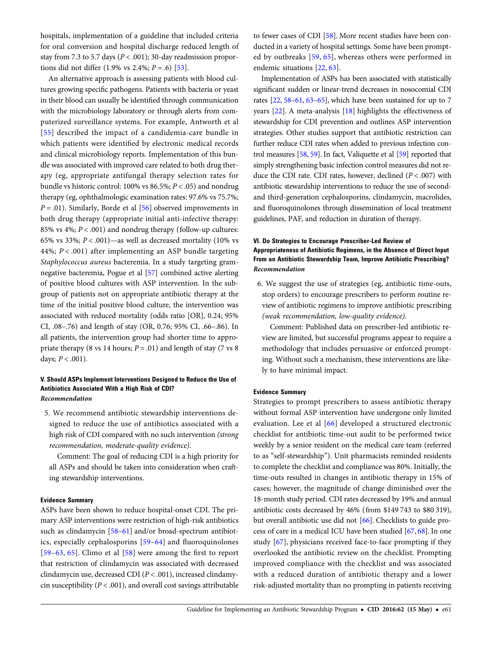hospitals, implementation of a guideline that included criteria for oral conversion and hospital discharge reduced length of stay from 7.3 to 5.7 days ( $P < .001$ ); 30-day readmission proportions did not differ  $(1.9\% \text{ vs } 2.4\%; P = .6) [53].$  $(1.9\% \text{ vs } 2.4\%; P = .6) [53].$  $(1.9\% \text{ vs } 2.4\%; P = .6) [53].$ 

An alternative approach is assessing patients with blood cultures growing specific pathogens. Patients with bacteria or yeast in their blood can usually be identified through communication with the microbiology laboratory or through alerts from computerized surveillance systems. For example, Antworth et al [\[55](#page-23-0)] described the impact of a candidemia-care bundle in which patients were identified by electronic medical records and clinical microbiology reports. Implementation of this bundle was associated with improved care related to both drug therapy (eg, appropriate antifungal therapy selection rates for bundle vs historic control: 100% vs 86.5%;  $P < .05$ ) and nondrug therapy (eg, ophthalmologic examination rates: 97.6% vs 75.7%;  $P = .01$ ). Similarly, Borde et al [\[56](#page-23-0)] observed improvements in both drug therapy (appropriate initial anti-infective therapy: 85% vs 4%;  $P < .001$ ) and nondrug therapy (follow-up cultures: 65% vs 33%;  $P < .001$ )—as well as decreased mortality (10% vs 44%;  $P < .001$ ) after implementing an ASP bundle targeting Staphylococcus aureus bacteremia. In a study targeting gramnegative bacteremia, Pogue et al [\[57](#page-23-0)] combined active alerting of positive blood cultures with ASP intervention. In the subgroup of patients not on appropriate antibiotic therapy at the time of the initial positive blood culture, the intervention was associated with reduced mortality (odds ratio [OR], 0.24; 95% CI, .08–.76) and length of stay (OR, 0.76; 95% CI, .66–.86). In all patients, the intervention group had shorter time to appropriate therapy (8 vs 14 hours;  $P = .01$ ) and length of stay (7 vs 8 days;  $P < .001$ ).

#### V. Should ASPs Implement Interventions Designed to Reduce the Use of Antibiotics Associated With a High Risk of CDI? Recommendation

5. We recommend antibiotic stewardship interventions designed to reduce the use of antibiotics associated with a high risk of CDI compared with no such intervention (strong recommendation, moderate-quality evidence).

Comment: The goal of reducing CDI is a high priority for all ASPs and should be taken into consideration when crafting stewardship interventions.

#### Evidence Summary

ASPs have been shown to reduce hospital-onset CDI. The primary ASP interventions were restriction of high-risk antibiotics such as clindamycin [[58](#page-23-0)–[61\]](#page-23-0) and/or broad-spectrum antibiotics, especially cephalosporins [\[59](#page-23-0)–[64](#page-23-0)] and fluoroquinolones [\[59](#page-23-0)–[63](#page-23-0), [65\]](#page-23-0). Climo et al [[58](#page-23-0)] were among the first to report that restriction of clindamycin was associated with decreased clindamycin use, decreased CDI ( $P < .001$ ), increased clindamycin susceptibility ( $P < .001$ ), and overall cost savings attributable to fewer cases of CDI [\[58](#page-23-0)]. More recent studies have been conducted in a variety of hospital settings. Some have been prompted by outbreaks [[59,](#page-23-0) [65\]](#page-23-0), whereas others were performed in endemic situations [[22,](#page-22-0) [63\]](#page-23-0).

Implementation of ASPs has been associated with statistically significant sudden or linear-trend decreases in nosocomial CDI rates [\[22](#page-22-0), [58](#page-23-0)–[61](#page-23-0), [63](#page-23-0)–[65](#page-23-0)], which have been sustained for up to 7 years [[22\]](#page-22-0). A meta-analysis [\[18\]](#page-22-0) highlights the effectiveness of stewardship for CDI prevention and outlines ASP intervention strategies. Other studies support that antibiotic restriction can further reduce CDI rates when added to previous infection control measures [[58](#page-23-0), [59](#page-23-0)]. In fact, Valiquette et al [[59](#page-23-0)] reported that simply strengthening basic infection control measures did not reduce the CDI rate. CDI rates, however, declined  $(P < .007)$  with antibiotic stewardship interventions to reduce the use of secondand third-generation cephalosporins, clindamycin, macrolides, and fluoroquinolones through dissemination of local treatment guidelines, PAF, and reduction in duration of therapy.

# VI. Do Strategies to Encourage Prescriber-Led Review of Appropriateness of Antibiotic Regimens, in the Absence of Direct Input From an Antibiotic Stewardship Team, Improve Antibiotic Prescribing? Recommendation

6. We suggest the use of strategies (eg, antibiotic time-outs, stop orders) to encourage prescribers to perform routine review of antibiotic regimens to improve antibiotic prescribing (weak recommendation, low-quality evidence).

Comment: Published data on prescriber-led antibiotic review are limited, but successful programs appear to require a methodology that includes persuasive or enforced prompting. Without such a mechanism, these interventions are likely to have minimal impact.

#### Evidence Summary

Strategies to prompt prescribers to assess antibiotic therapy without formal ASP intervention have undergone only limited evaluation. Lee et al [[66](#page-23-0)] developed a structured electronic checklist for antibiotic time-out audit to be performed twice weekly by a senior resident on the medical care team (referred to as "self-stewardship"). Unit pharmacists reminded residents to complete the checklist and compliance was 80%. Initially, the time-outs resulted in changes in antibiotic therapy in 15% of cases; however, the magnitude of change diminished over the 18-month study period. CDI rates decreased by 19% and annual antibiotic costs decreased by 46% (from \$149 743 to \$80 319), but overall antibiotic use did not [\[66](#page-23-0)]. Checklists to guide process of care in a medical ICU have been studied [\[67](#page-23-0), [68](#page-23-0)]. In one study [\[67](#page-23-0)], physicians received face-to-face prompting if they overlooked the antibiotic review on the checklist. Prompting improved compliance with the checklist and was associated with a reduced duration of antibiotic therapy and a lower risk-adjusted mortality than no prompting in patients receiving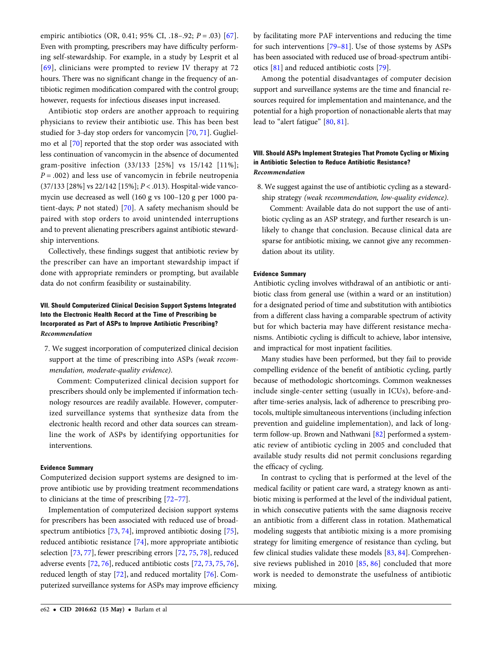empiric antibiotics (OR, 0.41; 95% CI, .18-.92;  $P = .03$ ) [\[67](#page-23-0)]. Even with prompting, prescribers may have difficulty performing self-stewardship. For example, in a study by Lesprit et al [\[69](#page-23-0)], clinicians were prompted to review IV therapy at 72 hours. There was no significant change in the frequency of antibiotic regimen modification compared with the control group; however, requests for infectious diseases input increased.

Antibiotic stop orders are another approach to requiring physicians to review their antibiotic use. This has been best studied for 3-day stop orders for vancomycin [[70,](#page-23-0) [71](#page-23-0)]. Guglielmo et al [\[70](#page-23-0)] reported that the stop order was associated with less continuation of vancomycin in the absence of documented gram-positive infection (33/133 [25%] vs 15/142 [11%];  $P = .002$ ) and less use of vancomycin in febrile neutropenia (37/133 [28%] vs 22/142 [15%]; P < .013). Hospital-wide vancomycin use decreased as well (160 g vs 100–120 g per 1000 patient-days; P not stated) [\[70\]](#page-23-0). A safety mechanism should be paired with stop orders to avoid unintended interruptions and to prevent alienating prescribers against antibiotic stewardship interventions.

Collectively, these findings suggest that antibiotic review by the prescriber can have an important stewardship impact if done with appropriate reminders or prompting, but available data do not confirm feasibility or sustainability.

# VII. Should Computerized Clinical Decision Support Systems Integrated Into the Electronic Health Record at the Time of Prescribing be Incorporated as Part of ASPs to Improve Antibiotic Prescribing? Recommendation

7. We suggest incorporation of computerized clinical decision support at the time of prescribing into ASPs (weak recommendation, moderate-quality evidence).

Comment: Computerized clinical decision support for prescribers should only be implemented if information technology resources are readily available. However, computerized surveillance systems that synthesize data from the electronic health record and other data sources can streamline the work of ASPs by identifying opportunities for interventions.

#### Evidence Summary

Computerized decision support systems are designed to improve antibiotic use by providing treatment recommendations to clinicians at the time of prescribing [\[72](#page-23-0)–[77](#page-23-0)].

Implementation of computerized decision support systems for prescribers has been associated with reduced use of broadspectrum antibiotics [\[73](#page-23-0), [74\]](#page-23-0), improved antibiotic dosing [\[75\]](#page-23-0), reduced antibiotic resistance [[74\]](#page-23-0), more appropriate antibiotic selection [\[73](#page-23-0), [77](#page-23-0)], fewer prescribing errors [[72,](#page-23-0) [75](#page-23-0), [78](#page-23-0)], reduced adverse events [\[72](#page-23-0), [76](#page-23-0)], reduced antibiotic costs [\[72](#page-23-0), [73](#page-23-0), [75,](#page-23-0) [76\]](#page-23-0), reduced length of stay [\[72\]](#page-23-0), and reduced mortality [\[76](#page-23-0)]. Computerized surveillance systems for ASPs may improve efficiency by facilitating more PAF interventions and reducing the time for such interventions [[79](#page-23-0)–[81](#page-24-0)]. Use of those systems by ASPs has been associated with reduced use of broad-spectrum antibiotics [[81\]](#page-24-0) and reduced antibiotic costs [\[79](#page-23-0)].

Among the potential disadvantages of computer decision support and surveillance systems are the time and financial resources required for implementation and maintenance, and the potential for a high proportion of nonactionable alerts that may lead to "alert fatigue" [\[80,](#page-23-0) [81\]](#page-24-0).

#### VIII. Should ASPs Implement Strategies That Promote Cycling or Mixing in Antibiotic Selection to Reduce Antibiotic Resistance? Recommendation

8. We suggest against the use of antibiotic cycling as a stewardship strategy (weak recommendation, low-quality evidence).

Comment: Available data do not support the use of antibiotic cycling as an ASP strategy, and further research is unlikely to change that conclusion. Because clinical data are sparse for antibiotic mixing, we cannot give any recommendation about its utility.

#### Evidence Summary

Antibiotic cycling involves withdrawal of an antibiotic or antibiotic class from general use (within a ward or an institution) for a designated period of time and substitution with antibiotics from a different class having a comparable spectrum of activity but for which bacteria may have different resistance mechanisms. Antibiotic cycling is difficult to achieve, labor intensive, and impractical for most inpatient facilities.

Many studies have been performed, but they fail to provide compelling evidence of the benefit of antibiotic cycling, partly because of methodologic shortcomings. Common weaknesses include single-center setting (usually in ICUs), before-andafter time-series analysis, lack of adherence to prescribing protocols, multiple simultaneous interventions (including infection prevention and guideline implementation), and lack of longterm follow-up. Brown and Nathwani [\[82](#page-24-0)] performed a systematic review of antibiotic cycling in 2005 and concluded that available study results did not permit conclusions regarding the efficacy of cycling.

In contrast to cycling that is performed at the level of the medical facility or patient care ward, a strategy known as antibiotic mixing is performed at the level of the individual patient, in which consecutive patients with the same diagnosis receive an antibiotic from a different class in rotation. Mathematical modeling suggests that antibiotic mixing is a more promising strategy for limiting emergence of resistance than cycling, but few clinical studies validate these models [\[83](#page-24-0), [84](#page-24-0)]. Comprehensive reviews published in 2010 [[85](#page-24-0), [86](#page-24-0)] concluded that more work is needed to demonstrate the usefulness of antibiotic mixing.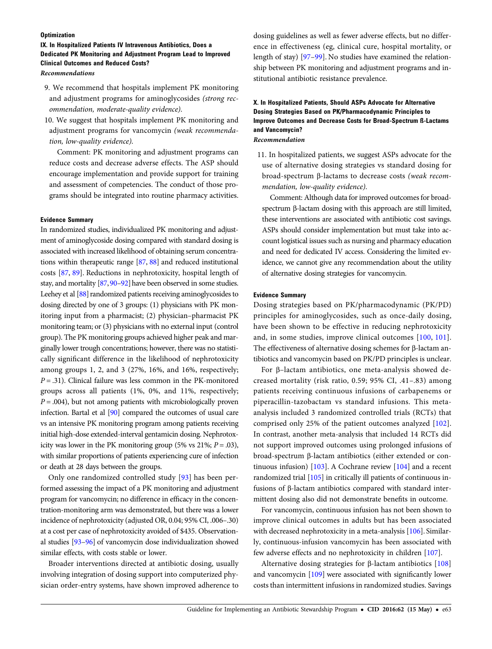#### **Optimization**

#### IX. In Hospitalized Patients IV Intravenous Antibiotics, Does a Dedicated PK Monitoring and Adjustment Program Lead to Improved Clinical Outcomes and Reduced Costs? Recommendations

- 9. We recommend that hospitals implement PK monitoring and adjustment programs for aminoglycosides (strong recommendation, moderate-quality evidence).
- 10. We suggest that hospitals implement PK monitoring and adjustment programs for vancomycin (weak recommendation, low-quality evidence).

Comment: PK monitoring and adjustment programs can reduce costs and decrease adverse effects. The ASP should encourage implementation and provide support for training and assessment of competencies. The conduct of those programs should be integrated into routine pharmacy activities.

#### Evidence Summary

In randomized studies, individualized PK monitoring and adjustment of aminoglycoside dosing compared with standard dosing is associated with increased likelihood of obtaining serum concentrations within therapeutic range [\[87](#page-24-0), [88](#page-24-0)] and reduced institutional costs [[87,](#page-24-0) [89](#page-24-0)]. Reductions in nephrotoxicity, hospital length of stay, and mortality [[87](#page-24-0),[90](#page-24-0)–[92\]](#page-24-0) have been observed in some studies. Leehey et al [[88](#page-24-0)] randomized patients receiving aminoglycosides to dosing directed by one of 3 groups: (1) physicians with PK monitoring input from a pharmacist; (2) physician–pharmacist PK monitoring team; or (3) physicians with no external input (control group). The PK monitoring groups achieved higher peak and marginally lower trough concentrations; however, there was no statistically significant difference in the likelihood of nephrotoxicity among groups 1, 2, and 3 (27%, 16%, and 16%, respectively;  $P = .31$ ). Clinical failure was less common in the PK-monitored groups across all patients (1%, 0%, and 11%, respectively;  $P = .004$ ), but not among patients with microbiologically proven infection. Bartal et al [\[90\]](#page-24-0) compared the outcomes of usual care vs an intensive PK monitoring program among patients receiving initial high-dose extended-interval gentamicin dosing. Nephrotoxicity was lower in the PK monitoring group (5% vs  $21\%$ ;  $P = .03$ ), with similar proportions of patients experiencing cure of infection or death at 28 days between the groups.

Only one randomized controlled study [[93](#page-24-0)] has been performed assessing the impact of a PK monitoring and adjustment program for vancomycin; no difference in efficacy in the concentration-monitoring arm was demonstrated, but there was a lower incidence of nephrotoxicity (adjusted OR, 0.04; 95% CI, .006–.30) at a cost per case of nephrotoxicity avoided of \$435. Observational studies [\[93](#page-24-0)–[96](#page-24-0)] of vancomycin dose individualization showed similar effects, with costs stable or lower.

Broader interventions directed at antibiotic dosing, usually involving integration of dosing support into computerized physician order-entry systems, have shown improved adherence to

dosing guidelines as well as fewer adverse effects, but no difference in effectiveness (eg, clinical cure, hospital mortality, or length of stay) [\[97](#page-24-0)–[99](#page-24-0)]. No studies have examined the relationship between PK monitoring and adjustment programs and institutional antibiotic resistance prevalence.

# X. In Hospitalized Patients, Should ASPs Advocate for Alternative Dosing Strategies Based on PK/Pharmacodynamic Principles to Improve Outcomes and Decrease Costs for Broad-Spectrum ß-Lactams and Vancomycin?

#### Recommendation

11. In hospitalized patients, we suggest ASPs advocate for the use of alternative dosing strategies vs standard dosing for broad-spectrum β-lactams to decrease costs (weak recommendation, low-quality evidence).

Comment: Although data for improved outcomes for broadspectrum β-lactam dosing with this approach are still limited, these interventions are associated with antibiotic cost savings. ASPs should consider implementation but must take into account logistical issues such as nursing and pharmacy education and need for dedicated IV access. Considering the limited evidence, we cannot give any recommendation about the utility of alternative dosing strategies for vancomycin.

#### Evidence Summary

Dosing strategies based on PK/pharmacodynamic (PK/PD) principles for aminoglycosides, such as once-daily dosing, have been shown to be effective in reducing nephrotoxicity and, in some studies, improve clinical outcomes [[100](#page-24-0), [101](#page-24-0)]. The effectiveness of alternative dosing schemes for β-lactam antibiotics and vancomycin based on PK/PD principles is unclear.

For β–lactam antibiotics, one meta-analysis showed decreased mortality (risk ratio, 0.59; 95% CI, .41–.83) among patients receiving continuous infusions of carbapenems or piperacillin-tazobactam vs standard infusions. This metaanalysis included 3 randomized controlled trials (RCTs) that comprised only 25% of the patient outcomes analyzed [[102](#page-24-0)]. In contrast, another meta-analysis that included 14 RCTs did not support improved outcomes using prolonged infusions of broad-spectrum β-lactam antibiotics (either extended or continuous infusion) [\[103\]](#page-24-0). A Cochrane review [\[104\]](#page-24-0) and a recent randomized trial [\[105](#page-24-0)] in critically ill patients of continuous infusions of β-lactam antibiotics compared with standard intermittent dosing also did not demonstrate benefits in outcome.

For vancomycin, continuous infusion has not been shown to improve clinical outcomes in adults but has been associated with decreased nephrotoxicity in a meta-analysis [\[106\]](#page-24-0). Similarly, continuous-infusion vancomycin has been associated with few adverse effects and no nephrotoxicity in children [\[107\]](#page-24-0).

Alternative dosing strategies for β-lactam antibiotics [[108\]](#page-24-0) and vancomycin [\[109](#page-24-0)] were associated with significantly lower costs than intermittent infusions in randomized studies. Savings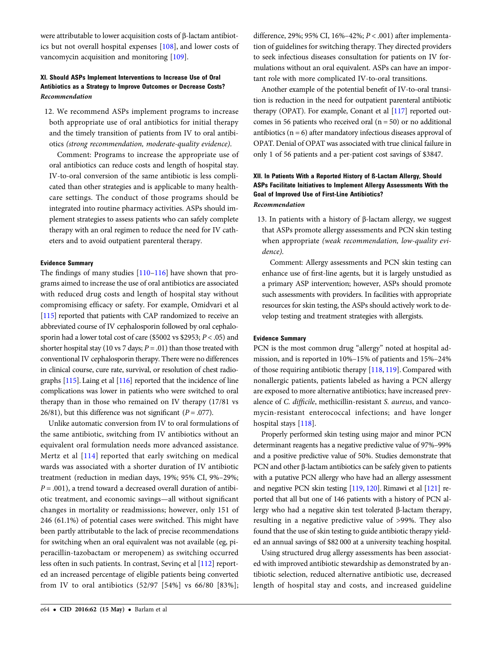were attributable to lower acquisition costs of β-lactam antibiotics but not overall hospital expenses [[108\]](#page-24-0), and lower costs of vancomycin acquisition and monitoring [[109](#page-24-0)].

# XI. Should ASPs Implement Interventions to Increase Use of Oral Antibiotics as a Strategy to Improve Outcomes or Decrease Costs? Recommendation

12. We recommend ASPs implement programs to increase both appropriate use of oral antibiotics for initial therapy and the timely transition of patients from IV to oral antibiotics (strong recommendation, moderate-quality evidence).

Comment: Programs to increase the appropriate use of oral antibiotics can reduce costs and length of hospital stay. IV-to-oral conversion of the same antibiotic is less complicated than other strategies and is applicable to many healthcare settings. The conduct of those programs should be integrated into routine pharmacy activities. ASPs should implement strategies to assess patients who can safely complete therapy with an oral regimen to reduce the need for IV catheters and to avoid outpatient parenteral therapy.

#### Evidence Summary

The findings of many studies [[110](#page-24-0)–[116](#page-24-0)] have shown that programs aimed to increase the use of oral antibiotics are associated with reduced drug costs and length of hospital stay without compromising efficacy or safety. For example, Omidvari et al [\[115](#page-24-0)] reported that patients with CAP randomized to receive an abbreviated course of IV cephalosporin followed by oral cephalosporin had a lower total cost of care (\$5002 vs \$2953;  $P < .05$ ) and shorter hospital stay (10 vs 7 days;  $P = .01$ ) than those treated with conventional IV cephalosporin therapy. There were no differences in clinical course, cure rate, survival, or resolution of chest radiographs  $[115]$  $[115]$ . Laing et al  $[116]$  $[116]$  reported that the incidence of line complications was lower in patients who were switched to oral therapy than in those who remained on IV therapy (17/81 vs 26/81), but this difference was not significant ( $P = .077$ ).

Unlike automatic conversion from IV to oral formulations of the same antibiotic, switching from IV antibiotics without an equivalent oral formulation needs more advanced assistance. Mertz et al [[114](#page-24-0)] reported that early switching on medical wards was associated with a shorter duration of IV antibiotic treatment (reduction in median days, 19%; 95% CI, 9%–29%;  $P = .001$ ), a trend toward a decreased overall duration of antibiotic treatment, and economic savings—all without significant changes in mortality or readmissions; however, only 151 of 246 (61.1%) of potential cases were switched. This might have been partly attributable to the lack of precise recommendations for switching when an oral equivalent was not available (eg, piperacillin-tazobactam or meropenem) as switching occurred less often in such patients. In contrast, Sevinç et al [\[112\]](#page-24-0) reported an increased percentage of eligible patients being converted from IV to oral antibiotics (52/97 [54%] vs 66/80 [83%]; difference, 29%; 95% CI, 16%–42%; P < .001) after implementation of guidelines for switching therapy. They directed providers to seek infectious diseases consultation for patients on IV formulations without an oral equivalent. ASPs can have an important role with more complicated IV-to-oral transitions.

Another example of the potential benefit of IV-to-oral transition is reduction in the need for outpatient parenteral antibiotic therapy (OPAT). For example, Conant et al [\[117\]](#page-24-0) reported outcomes in 56 patients who received oral  $(n = 50)$  or no additional antibiotics ( $n = 6$ ) after mandatory infectious diseases approval of OPAT. Denial of OPAT was associated with true clinical failure in only 1 of 56 patients and a per-patient cost savings of \$3847.

# XII. In Patients With a Reported History of ß-Lactam Allergy, Should ASPs Facilitate Initiatives to Implement Allergy Assessments With the Goal of Improved Use of First-Line Antibiotics? Recommendation

13. In patients with a history of β-lactam allergy, we suggest that ASPs promote allergy assessments and PCN skin testing when appropriate (weak recommendation, low-quality evidence).

Comment: Allergy assessments and PCN skin testing can enhance use of first-line agents, but it is largely unstudied as a primary ASP intervention; however, ASPs should promote such assessments with providers. In facilities with appropriate resources for skin testing, the ASPs should actively work to develop testing and treatment strategies with allergists.

#### Evidence Summary

PCN is the most common drug "allergy" noted at hospital admission, and is reported in 10%–15% of patients and 15%–24% of those requiring antibiotic therapy [\[118,](#page-24-0) [119\]](#page-24-0). Compared with nonallergic patients, patients labeled as having a PCN allergy are exposed to more alternative antibiotics; have increased prevalence of C. difficile, methicillin-resistant S. aureus, and vancomycin-resistant enterococcal infections; and have longer hospital stays [[118](#page-24-0)].

Properly performed skin testing using major and minor PCN determinant reagents has a negative predictive value of 97%–99% and a positive predictive value of 50%. Studies demonstrate that PCN and other β-lactam antibiotics can be safely given to patients with a putative PCN allergy who have had an allergy assessment and negative PCN skin testing [[119,](#page-24-0) [120](#page-24-0)]. Rimawi et al [\[121\]](#page-24-0) reported that all but one of 146 patients with a history of PCN allergy who had a negative skin test tolerated β-lactam therapy, resulting in a negative predictive value of >99%. They also found that the use of skin testing to guide antibiotic therapy yielded an annual savings of \$82 000 at a university teaching hospital.

Using structured drug allergy assessments has been associated with improved antibiotic stewardship as demonstrated by antibiotic selection, reduced alternative antibiotic use, decreased length of hospital stay and costs, and increased guideline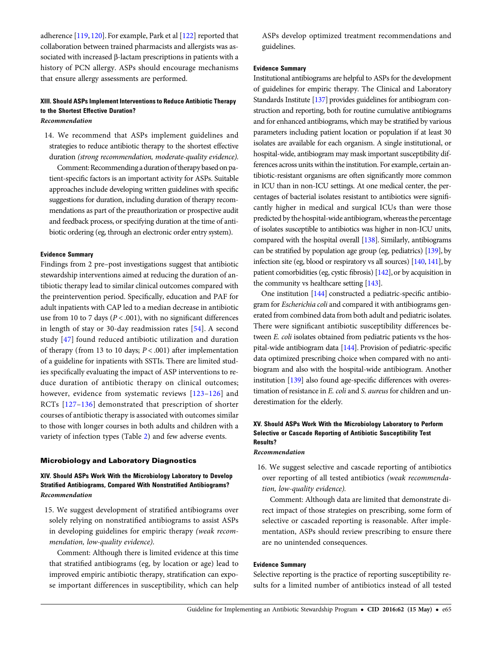adherence [[119](#page-24-0), [120](#page-24-0)]. For example, Park et al [[122\]](#page-24-0) reported that collaboration between trained pharmacists and allergists was associated with increased β-lactam prescriptions in patients with a history of PCN allergy. ASPs should encourage mechanisms that ensure allergy assessments are performed.

#### XIII. Should ASPs Implement Interventions to Reduce Antibiotic Therapy to the Shortest Effective Duration? Recommendation

14. We recommend that ASPs implement guidelines and strategies to reduce antibiotic therapy to the shortest effective duration (strong recommendation, moderate-quality evidence).

Comment: Recommending a duration of therapy based on patient-specific factors is an important activity for ASPs. Suitable approaches include developing written guidelines with specific suggestions for duration, including duration of therapy recommendations as part of the preauthorization or prospective audit and feedback process, or specifying duration at the time of antibiotic ordering (eg, through an electronic order entry system).

#### Evidence Summary

Findings from 2 pre–post investigations suggest that antibiotic stewardship interventions aimed at reducing the duration of antibiotic therapy lead to similar clinical outcomes compared with the preintervention period. Specifically, education and PAF for adult inpatients with CAP led to a median decrease in antibiotic use from 10 to 7 days ( $P < .001$ ), with no significant differences in length of stay or 30-day readmission rates [[54](#page-23-0)]. A second study [[47](#page-23-0)] found reduced antibiotic utilization and duration of therapy (from 13 to 10 days;  $P < .001$ ) after implementation of a guideline for inpatients with SSTIs. There are limited studies specifically evaluating the impact of ASP interventions to reduce duration of antibiotic therapy on clinical outcomes; however, evidence from systematic reviews [\[123](#page-24-0)-[126](#page-24-0)] and RCTs [\[127](#page-24-0)–[136](#page-25-0)] demonstrated that prescription of shorter courses of antibiotic therapy is associated with outcomes similar to those with longer courses in both adults and children with a variety of infection types (Table [2](#page-15-0)) and few adverse events.

#### Microbiology and Laboratory Diagnostics

# XIV. Should ASPs Work With the Microbiology Laboratory to Develop Stratified Antibiograms, Compared With Nonstratified Antibiograms? Recommendation

15. We suggest development of stratified antibiograms over solely relying on nonstratified antibiograms to assist ASPs in developing guidelines for empiric therapy (weak recommendation, low-quality evidence).

Comment: Although there is limited evidence at this time that stratified antibiograms (eg, by location or age) lead to improved empiric antibiotic therapy, stratification can expose important differences in susceptibility, which can help ASPs develop optimized treatment recommendations and guidelines.

#### Evidence Summary

Institutional antibiograms are helpful to ASPs for the development of guidelines for empiric therapy. The Clinical and Laboratory Standards Institute [[137\]](#page-25-0) provides guidelines for antibiogram construction and reporting, both for routine cumulative antibiograms and for enhanced antibiograms, which may be stratified by various parameters including patient location or population if at least 30 isolates are available for each organism. A single institutional, or hospital-wide, antibiogram may mask important susceptibility differences across units within the institution. For example, certain antibiotic-resistant organisms are often significantly more common in ICU than in non-ICU settings. At one medical center, the percentages of bacterial isolates resistant to antibiotics were significantly higher in medical and surgical ICUs than were those predicted by the hospital-wide antibiogram, whereas the percentage of isolates susceptible to antibiotics was higher in non-ICU units, compared with the hospital overall [[138\]](#page-25-0). Similarly, antibiograms can be stratified by population age group (eg, pediatrics) [\[139](#page-25-0)], by infection site (eg, blood or respiratory vs all sources) [[140,](#page-25-0) [141](#page-25-0)], by patient comorbidities (eg, cystic fibrosis) [\[142\]](#page-25-0), or by acquisition in the community vs healthcare setting [[143\]](#page-25-0).

One institution [\[144\]](#page-25-0) constructed a pediatric-specific antibiogram for Escherichia coli and compared it with antibiograms generated from combined data from both adult and pediatric isolates. There were significant antibiotic susceptibility differences between E. coli isolates obtained from pediatric patients vs the hospital-wide antibiogram data [\[144\]](#page-25-0). Provision of pediatric-specific data optimized prescribing choice when compared with no antibiogram and also with the hospital-wide antibiogram. Another institution [\[139\]](#page-25-0) also found age-specific differences with overestimation of resistance in E. coli and S. aureus for children and underestimation for the elderly.

# XV. Should ASPs Work With the Microbiology Laboratory to Perform Selective or Cascade Reporting of Antibiotic Susceptibility Test Results?

#### Recommendation

16. We suggest selective and cascade reporting of antibiotics over reporting of all tested antibiotics (weak recommendation, low-quality evidence).

Comment: Although data are limited that demonstrate direct impact of those strategies on prescribing, some form of selective or cascaded reporting is reasonable. After implementation, ASPs should review prescribing to ensure there are no unintended consequences.

#### Evidence Summary

Selective reporting is the practice of reporting susceptibility results for a limited number of antibiotics instead of all tested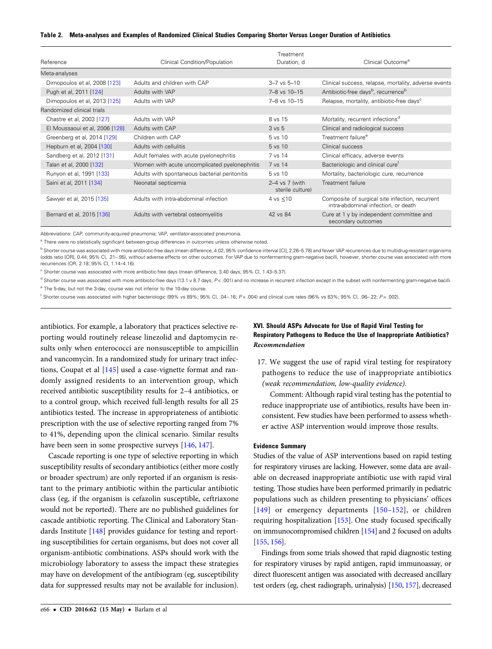#### <span id="page-15-0"></span>Table 2. Meta-analyses and Examples of Randomized Clinical Studies Comparing Shorter Versus Longer Duration of Antibiotics

| Reference                      | Clinical Condition/Population                 | Treatment<br>Duration, d             | Clinical Outcome <sup>a</sup>                                                          |
|--------------------------------|-----------------------------------------------|--------------------------------------|----------------------------------------------------------------------------------------|
| Meta-analyses                  |                                               |                                      |                                                                                        |
| Dimopoulos et al, 2008 [123]   | Adults and children with CAP                  | $3 - 7$ vs $5 - 10$                  | Clinical success, relapse, mortality, adverse events                                   |
| Pugh et al, 2011 [124]         | Adults with VAP                               | 7-8 vs 10-15                         | Antibiotic-free days <sup>b</sup> , recurrence <sup>b</sup>                            |
| Dimopoulos et al, 2013 [125]   | Adults with VAP                               | 7-8 vs 10-15                         | Relapse, mortality, antibiotic-free days <sup>c</sup>                                  |
| Randomized clinical trials     |                                               |                                      |                                                                                        |
| Chastre et al, 2003 [127]      | Adults with VAP                               | 8 vs 15                              | Mortality, recurrent infections <sup>d</sup>                                           |
| El Moussaoui et al, 2006 [128] | Adults with CAP                               | $3$ vs $5$                           | Clinical and radiological success                                                      |
| Greenberg et al, 2014 [129]    | Children with CAP                             | 5 vs 10                              | Treatment failure <sup>e</sup>                                                         |
| Hepburn et al, 2004 [130]      | Adults with cellulitis                        | $5 \text{ vs } 10$                   | Clinical success                                                                       |
| Sandberg et al, 2012 [131]     | Adult females with acute pyelonephritis       | 7 vs 14                              | Clinical efficacy, adverse events                                                      |
| Talan et al, 2000 [132]        | Women with acute uncomplicated pyelonephritis | 7 vs 14                              | Bacteriologic and clinical cure <sup>t</sup>                                           |
| Runyon et al, 1991 [133]       | Adults with spontaneous bacterial peritonitis | $5 \text{ vs } 10$                   | Mortality, bacteriologic cure, recurrence                                              |
| Saini et al, 2011 [134]        | Neonatal septicemia                           | $2-4$ vs 7 (with<br>sterile culture) | Treatment failure                                                                      |
| Sawyer et al, 2015 [135]       | Adults with intra-abdominal infection         | 4 vs $\leq 10$                       | Composite of surgical site infection, recurrent<br>intra-abdominal infection, or death |
| Bernard et al, 2015 [136]      | Adults with vertebral osteomyelitis           | 42 vs 84                             | Cure at 1 y by independent committee and<br>secondary outcomes                         |

Abbreviations: CAP, community-acquired pneumonia; VAP, ventilator-associated pneumonia.

a There were no statistically significant between-group differences in outcomes unless otherwise noted.

<sup>b</sup> Shorter course was associated with more antibiotic-free days (mean difference, 4.02; 95% confidence interval [CI], 2.26-5.78) and fewer VAP recurrences due to multidrug-resistant organisms (odds ratio [OR], 0.44; 95% CI, .21–.95), without adverse effects on other outcomes. For VAP due to nonfermenting gram-negative bacilli, however, shorter course was associated with more recurrences (OR, 2.18; 95% CI, 1.14–4.16).

<sup>c</sup> Shorter course was associated with more antibiotic-free days (mean difference, 3.40 days; 95% CI, 1.43–5.37).

 $^d$  Shorter course was associated with more antibiotic-free days (13.1 v 8.7 days;  $P < .001$ ) and no increase in recurrent infection except in the subset with nonfermenting gram-negative bacilli. <sup>e</sup> The 5-day, but not the 3-day, course was not inferior to the 10-day course.

<sup>f</sup> Shorter course was associated with higher bacteriologic (99% vs 89%; 95% CI, .04-.16;  $P = .004$ ) and clinical cure rates (96% vs 83%; 95% CI, .06-.22;  $P = .002$ ).

antibiotics. For example, a laboratory that practices selective reporting would routinely release linezolid and daptomycin results only when enterococci are nonsusceptible to ampicillin and vancomycin. In a randomized study for urinary tract infections, Coupat et al [[145](#page-25-0)] used a case-vignette format and randomly assigned residents to an intervention group, which received antibiotic susceptibility results for 2–4 antibiotics, or to a control group, which received full-length results for all 25 antibiotics tested. The increase in appropriateness of antibiotic prescription with the use of selective reporting ranged from 7% to 41%, depending upon the clinical scenario. Similar results have been seen in some prospective surveys [\[146](#page-25-0), [147](#page-25-0)].

Cascade reporting is one type of selective reporting in which susceptibility results of secondary antibiotics (either more costly or broader spectrum) are only reported if an organism is resistant to the primary antibiotic within the particular antibiotic class (eg, if the organism is cefazolin susceptible, ceftriaxone would not be reported). There are no published guidelines for cascade antibiotic reporting. The Clinical and Laboratory Standards Institute [[148](#page-25-0)] provides guidance for testing and reporting susceptibilities for certain organisms, but does not cover all organism-antibiotic combinations. ASPs should work with the microbiology laboratory to assess the impact these strategies may have on development of the antibiogram (eg, susceptibility data for suppressed results may not be available for inclusion).

# XVI. Should ASPs Advocate for Use of Rapid Viral Testing for Respiratory Pathogens to Reduce the Use of Inappropriate Antibiotics? Recommendation

17. We suggest the use of rapid viral testing for respiratory pathogens to reduce the use of inappropriate antibiotics (weak recommendation, low-quality evidence).

Comment: Although rapid viral testing has the potential to reduce inappropriate use of antibiotics, results have been inconsistent. Few studies have been performed to assess whether active ASP intervention would improve those results.

#### Evidence Summary

Studies of the value of ASP interventions based on rapid testing for respiratory viruses are lacking. However, some data are available on decreased inappropriate antibiotic use with rapid viral testing. Those studies have been performed primarily in pediatric populations such as children presenting to physicians' offices [\[149](#page-25-0)] or emergency departments [[150](#page-25-0)-[152](#page-25-0)], or children requiring hospitalization [[153\]](#page-25-0). One study focused specifically on immunocompromised children [\[154\]](#page-25-0) and 2 focused on adults [\[155](#page-25-0), [156\]](#page-25-0).

Findings from some trials showed that rapid diagnostic testing for respiratory viruses by rapid antigen, rapid immunoassay, or direct fluorescent antigen was associated with decreased ancillary test orders (eg, chest radiograph, urinalysis) [\[150](#page-25-0), [157](#page-25-0)], decreased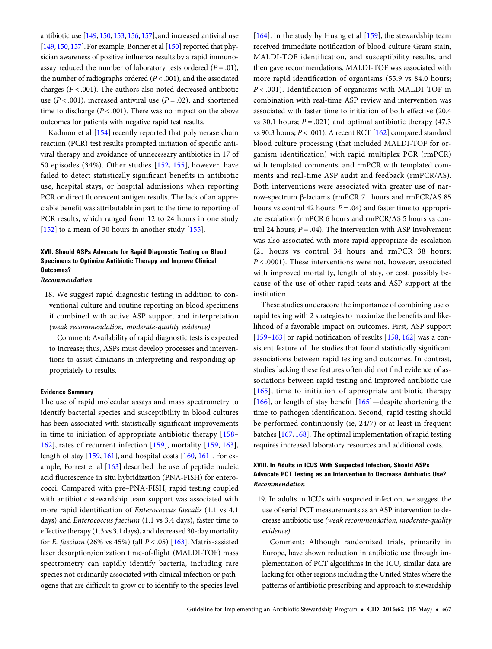antibiotic use [\[149,](#page-25-0) [150](#page-25-0), [153](#page-25-0), [156](#page-25-0), [157\]](#page-25-0), and increased antiviral use [\[149](#page-25-0), [150,](#page-25-0) [157](#page-25-0)]. For example, Bonner et al [[150\]](#page-25-0) reported that physician awareness of positive influenza results by a rapid immunoassay reduced the number of laboratory tests ordered  $(P = .01)$ , the number of radiographs ordered  $(P < .001)$ , and the associated charges ( $P < .001$ ). The authors also noted decreased antibiotic use ( $P < .001$ ), increased antiviral use ( $P = .02$ ), and shortened time to discharge  $(P < .001)$ . There was no impact on the above outcomes for patients with negative rapid test results.

Kadmon et al [[154](#page-25-0)] recently reported that polymerase chain reaction (PCR) test results prompted initiation of specific antiviral therapy and avoidance of unnecessary antibiotics in 17 of 50 episodes (34%). Other studies [[152,](#page-25-0) [155](#page-25-0)], however, have failed to detect statistically significant benefits in antibiotic use, hospital stays, or hospital admissions when reporting PCR or direct fluorescent antigen results. The lack of an appreciable benefit was attributable in part to the time to reporting of PCR results, which ranged from 12 to 24 hours in one study [\[152\]](#page-25-0) to a mean of 30 hours in another study [[155](#page-25-0)].

# XVII. Should ASPs Advocate for Rapid Diagnostic Testing on Blood Specimens to Optimize Antibiotic Therapy and Improve Clinical Outcomes?

#### Recommendation

18. We suggest rapid diagnostic testing in addition to conventional culture and routine reporting on blood specimens if combined with active ASP support and interpretation (weak recommendation, moderate-quality evidence).

Comment: Availability of rapid diagnostic tests is expected to increase; thus, ASPs must develop processes and interventions to assist clinicians in interpreting and responding appropriately to results.

#### Evidence Summary

The use of rapid molecular assays and mass spectrometry to identify bacterial species and susceptibility in blood cultures has been associated with statistically significant improvements in time to initiation of appropriate antibiotic therapy [[158](#page-25-0)– [162](#page-25-0)], rates of recurrent infection [\[159](#page-25-0)], mortality [[159,](#page-25-0) [163](#page-25-0)], length of stay [[159,](#page-25-0) [161\]](#page-25-0), and hospital costs [\[160,](#page-25-0) [161\]](#page-25-0). For example, Forrest et al [[163\]](#page-25-0) described the use of peptide nucleic acid fluorescence in situ hybridization (PNA-FISH) for enterococci. Compared with pre–PNA-FISH, rapid testing coupled with antibiotic stewardship team support was associated with more rapid identification of Enterococcus faecalis (1.1 vs 4.1 days) and Enterococcus faecium (1.1 vs 3.4 days), faster time to effective therapy (1.3 vs 3.1 days), and decreased 30-day mortality for E. faecium (26% vs 45%) (all  $P < .05$ ) [\[163\]](#page-25-0). Matrix-assisted laser desorption/ionization time-of-flight (MALDI-TOF) mass spectrometry can rapidly identify bacteria, including rare species not ordinarily associated with clinical infection or pathogens that are difficult to grow or to identify to the species level [\[164\]](#page-25-0). In the study by Huang et al [[159](#page-25-0)], the stewardship team received immediate notification of blood culture Gram stain, MALDI-TOF identification, and susceptibility results, and then gave recommendations. MALDI-TOF was associated with more rapid identification of organisms (55.9 vs 84.0 hours; P < .001). Identification of organisms with MALDI-TOF in combination with real-time ASP review and intervention was associated with faster time to initiation of both effective (20.4 vs 30.1 hours;  $P = .021$ ) and optimal antibiotic therapy (47.3) vs 90.3 hours;  $P < .001$ ). A recent RCT [\[162\]](#page-25-0) compared standard blood culture processing (that included MALDI-TOF for organism identification) with rapid multiplex PCR (rmPCR) with templated comments, and rmPCR with templated comments and real-time ASP audit and feedback (rmPCR/AS). Both interventions were associated with greater use of narrow-spectrum β-lactams (rmPCR 71 hours and rmPCR/AS 85 hours vs control 42 hours;  $P = .04$ ) and faster time to appropriate escalation (rmPCR 6 hours and rmPCR/AS 5 hours vs control 24 hours;  $P = .04$ ). The intervention with ASP involvement was also associated with more rapid appropriate de-escalation (21 hours vs control 34 hours and rmPCR 38 hours;  $P < .0001$ ). These interventions were not, however, associated with improved mortality, length of stay, or cost, possibly because of the use of other rapid tests and ASP support at the institution.

These studies underscore the importance of combining use of rapid testing with 2 strategies to maximize the benefits and likelihood of a favorable impact on outcomes. First, ASP support [\[159](#page-25-0)–[163](#page-25-0)] or rapid notification of results  $[158, 162]$  $[158, 162]$  $[158, 162]$  was a consistent feature of the studies that found statistically significant associations between rapid testing and outcomes. In contrast, studies lacking these features often did not find evidence of associations between rapid testing and improved antibiotic use [\[165\]](#page-25-0), time to initiation of appropriate antibiotic therapy [\[166](#page-25-0)], or length of stay benefit [\[165](#page-25-0)]—despite shortening the time to pathogen identification. Second, rapid testing should be performed continuously (ie, 24/7) or at least in frequent batches [\[167](#page-25-0), [168](#page-25-0)]. The optimal implementation of rapid testing requires increased laboratory resources and additional costs.

# XVIII. In Adults in ICUS With Suspected Infection, Should ASPs Advocate PCT Testing as an Intervention to Decrease Antibiotic Use? Recommendation

19. In adults in ICUs with suspected infection, we suggest the use of serial PCT measurements as an ASP intervention to decrease antibiotic use (weak recommendation, moderate-quality evidence).

Comment: Although randomized trials, primarily in Europe, have shown reduction in antibiotic use through implementation of PCT algorithms in the ICU, similar data are lacking for other regions including the United States where the patterns of antibiotic prescribing and approach to stewardship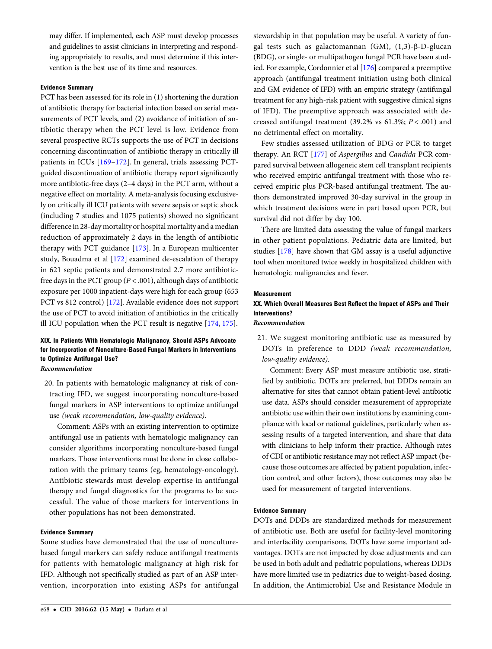may differ. If implemented, each ASP must develop processes and guidelines to assist clinicians in interpreting and responding appropriately to results, and must determine if this intervention is the best use of its time and resources.

# Evidence Summary

PCT has been assessed for its role in (1) shortening the duration of antibiotic therapy for bacterial infection based on serial measurements of PCT levels, and (2) avoidance of initiation of antibiotic therapy when the PCT level is low. Evidence from several prospective RCTs supports the use of PCT in decisions concerning discontinuation of antibiotic therapy in critically ill patients in ICUs [\[169](#page-25-0)–[172](#page-25-0)]. In general, trials assessing PCTguided discontinuation of antibiotic therapy report significantly more antibiotic-free days (2–4 days) in the PCT arm, without a negative effect on mortality. A meta-analysis focusing exclusively on critically ill ICU patients with severe sepsis or septic shock (including 7 studies and 1075 patients) showed no significant difference in 28-day mortality or hospital mortality and a median reduction of approximately 2 days in the length of antibiotic therapy with PCT guidance  $[173]$  $[173]$ . In a European multicenter study, Bouadma et al [[172](#page-25-0)] examined de-escalation of therapy in 621 septic patients and demonstrated 2.7 more antibioticfree days in the PCT group ( $P < .001$ ), although days of antibiotic exposure per 1000 inpatient-days were high for each group (653 PCT vs 812 control) [\[172](#page-25-0)]. Available evidence does not support the use of PCT to avoid initiation of antibiotics in the critically ill ICU population when the PCT result is negative [\[174,](#page-25-0) [175\]](#page-25-0).

# XIX. In Patients With Hematologic Malignancy, Should ASPs Advocate for Incorporation of Nonculture-Based Fungal Markers in Interventions to Optimize Antifungal Use?

Recommendation

20. In patients with hematologic malignancy at risk of contracting IFD, we suggest incorporating nonculture-based fungal markers in ASP interventions to optimize antifungal use (weak recommendation, low-quality evidence).

Comment: ASPs with an existing intervention to optimize antifungal use in patients with hematologic malignancy can consider algorithms incorporating nonculture-based fungal markers. Those interventions must be done in close collaboration with the primary teams (eg, hematology-oncology). Antibiotic stewards must develop expertise in antifungal therapy and fungal diagnostics for the programs to be successful. The value of those markers for interventions in other populations has not been demonstrated.

#### Evidence Summary

Some studies have demonstrated that the use of nonculturebased fungal markers can safely reduce antifungal treatments for patients with hematologic malignancy at high risk for IFD. Although not specifically studied as part of an ASP intervention, incorporation into existing ASPs for antifungal

stewardship in that population may be useful. A variety of fungal tests such as galactomannan (GM), (1,3)-β-D-glucan (BDG), or single- or multipathogen fungal PCR have been studied. For example, Cordonnier et al [[176\]](#page-25-0) compared a preemptive approach (antifungal treatment initiation using both clinical and GM evidence of IFD) with an empiric strategy (antifungal treatment for any high-risk patient with suggestive clinical signs of IFD). The preemptive approach was associated with decreased antifungal treatment (39.2% vs 61.3%;  $P < .001$ ) and no detrimental effect on mortality.

Few studies assessed utilization of BDG or PCR to target therapy. An RCT [\[177\]](#page-25-0) of Aspergillus and Candida PCR compared survival between allogeneic stem cell transplant recipients who received empiric antifungal treatment with those who received empiric plus PCR-based antifungal treatment. The authors demonstrated improved 30-day survival in the group in which treatment decisions were in part based upon PCR, but survival did not differ by day 100.

There are limited data assessing the value of fungal markers in other patient populations. Pediatric data are limited, but studies [\[178\]](#page-25-0) have shown that GM assay is a useful adjunctive tool when monitored twice weekly in hospitalized children with hematologic malignancies and fever.

#### Measurement

# XX. Which Overall Measures Best Reflect the Impact of ASPs and Their Interventions?

#### Recommendation

21. We suggest monitoring antibiotic use as measured by DOTs in preference to DDD (weak recommendation, low-quality evidence).

Comment: Every ASP must measure antibiotic use, stratified by antibiotic. DOTs are preferred, but DDDs remain an alternative for sites that cannot obtain patient-level antibiotic use data. ASPs should consider measurement of appropriate antibiotic use within their own institutions by examining compliance with local or national guidelines, particularly when assessing results of a targeted intervention, and share that data with clinicians to help inform their practice. Although rates of CDI or antibiotic resistance may not reflect ASP impact (because those outcomes are affected by patient population, infection control, and other factors), those outcomes may also be used for measurement of targeted interventions.

#### Evidence Summary

DOTs and DDDs are standardized methods for measurement of antibiotic use. Both are useful for facility-level monitoring and interfacility comparisons. DOTs have some important advantages. DOTs are not impacted by dose adjustments and can be used in both adult and pediatric populations, whereas DDDs have more limited use in pediatrics due to weight-based dosing. In addition, the Antimicrobial Use and Resistance Module in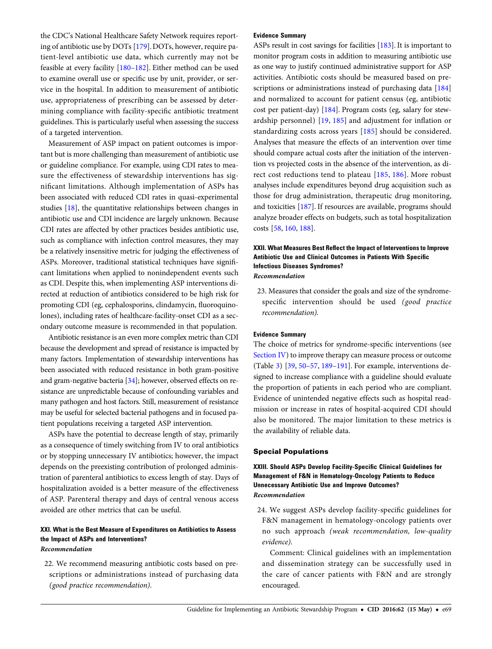the CDC's National Healthcare Safety Network requires reporting of antibiotic use by DOTs [[179\]](#page-26-0). DOTs, however, require patient-level antibiotic use data, which currently may not be feasible at every facility [\[180](#page-26-0)–[182](#page-26-0)]. Either method can be used to examine overall use or specific use by unit, provider, or service in the hospital. In addition to measurement of antibiotic use, appropriateness of prescribing can be assessed by determining compliance with facility-specific antibiotic treatment guidelines. This is particularly useful when assessing the success of a targeted intervention.

Measurement of ASP impact on patient outcomes is important but is more challenging than measurement of antibiotic use or guideline compliance. For example, using CDI rates to measure the effectiveness of stewardship interventions has significant limitations. Although implementation of ASPs has been associated with reduced CDI rates in quasi-experimental studies [\[18](#page-22-0)], the quantitative relationships between changes in antibiotic use and CDI incidence are largely unknown. Because CDI rates are affected by other practices besides antibiotic use, such as compliance with infection control measures, they may be a relatively insensitive metric for judging the effectiveness of ASPs. Moreover, traditional statistical techniques have significant limitations when applied to nonindependent events such as CDI. Despite this, when implementing ASP interventions directed at reduction of antibiotics considered to be high risk for promoting CDI (eg, cephalosporins, clindamycin, fluoroquinolones), including rates of healthcare-facility-onset CDI as a secondary outcome measure is recommended in that population.

Antibiotic resistance is an even more complex metric than CDI because the development and spread of resistance is impacted by many factors. Implementation of stewardship interventions has been associated with reduced resistance in both gram-positive and gram-negative bacteria [\[34\]](#page-22-0); however, observed effects on resistance are unpredictable because of confounding variables and many pathogen and host factors. Still, measurement of resistance may be useful for selected bacterial pathogens and in focused patient populations receiving a targeted ASP intervention.

ASPs have the potential to decrease length of stay, primarily as a consequence of timely switching from IV to oral antibiotics or by stopping unnecessary IV antibiotics; however, the impact depends on the preexisting contribution of prolonged administration of parenteral antibiotics to excess length of stay. Days of hospitalization avoided is a better measure of the effectiveness of ASP. Parenteral therapy and days of central venous access avoided are other metrics that can be useful.

#### XXI. What is the Best Measure of Expenditures on Antibiotics to Assess the Impact of ASPs and Interventions? Recommendation

22. We recommend measuring antibiotic costs based on prescriptions or administrations instead of purchasing data (good practice recommendation).

#### Evidence Summary

ASPs result in cost savings for facilities [[183](#page-26-0)]. It is important to monitor program costs in addition to measuring antibiotic use as one way to justify continued administrative support for ASP activities. Antibiotic costs should be measured based on pre-scriptions or administrations instead of purchasing data [[184\]](#page-26-0) and normalized to account for patient census (eg, antibiotic cost per patient-day) [\[184](#page-26-0)]. Program costs (eg, salary for stewardship personnel) [\[19,](#page-22-0) [185\]](#page-26-0) and adjustment for inflation or standardizing costs across years [\[185\]](#page-26-0) should be considered. Analyses that measure the effects of an intervention over time should compare actual costs after the initiation of the intervention vs projected costs in the absence of the intervention, as direct cost reductions tend to plateau [[185,](#page-26-0) [186\]](#page-26-0). More robust analyses include expenditures beyond drug acquisition such as those for drug administration, therapeutic drug monitoring, and toxicities [\[187](#page-26-0)]. If resources are available, programs should analyze broader effects on budgets, such as total hospitalization costs [\[58](#page-23-0), [160](#page-25-0), [188](#page-26-0)].

# XXII. What Measures Best Reflect the Impact of Interventions to Improve Antibiotic Use and Clinical Outcomes in Patients With Specific Infectious Diseases Syndromes?

Recommendation

23. Measures that consider the goals and size of the syndromespecific intervention should be used (good practice recommendation).

#### Evidence Summary

The choice of metrics for syndrome-specific interventions (see Section IV) to improve therapy can measure process or outcome (Table [3\)](#page-19-0) [\[39](#page-23-0), [50](#page-23-0)–[57,](#page-23-0) [189](#page-26-0)–[191](#page-26-0)]. For example, interventions designed to increase compliance with a guideline should evaluate the proportion of patients in each period who are compliant. Evidence of unintended negative effects such as hospital readmission or increase in rates of hospital-acquired CDI should also be monitored. The major limitation to these metrics is the availability of reliable data.

#### Special Populations

XXIII. Should ASPs Develop Facility-Specific Clinical Guidelines for Management of F&N in Hematology-Oncology Patients to Reduce Unnecessary Antibiotic Use and Improve Outcomes? Recommendation

24. We suggest ASPs develop facility-specific guidelines for F&N management in hematology-oncology patients over no such approach (weak recommendation, low-quality evidence).

Comment: Clinical guidelines with an implementation and dissemination strategy can be successfully used in the care of cancer patients with F&N and are strongly encouraged.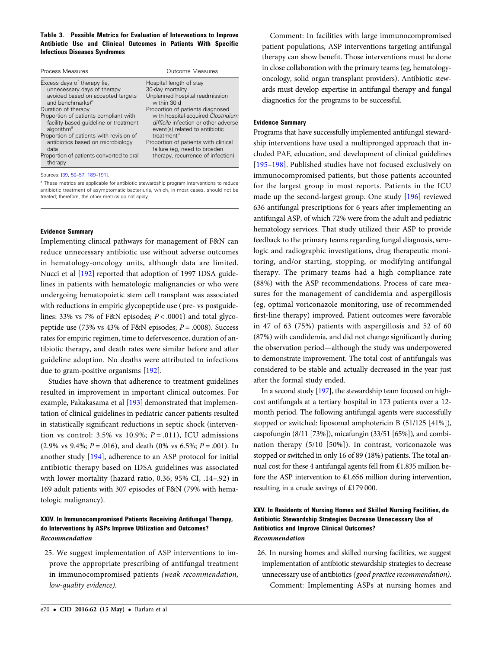<span id="page-19-0"></span>Table 3. Possible Metrics for Evaluation of Interventions to Improve Antibiotic Use and Clinical Outcomes in Patients With Specific Infectious Diseases Syndromes

| Process Measures                                                                                                                                                                                                                                                                                                                                                                                                  | Outcome Measures                                                                                                                                                                                                                                                                                                                                                                        |
|-------------------------------------------------------------------------------------------------------------------------------------------------------------------------------------------------------------------------------------------------------------------------------------------------------------------------------------------------------------------------------------------------------------------|-----------------------------------------------------------------------------------------------------------------------------------------------------------------------------------------------------------------------------------------------------------------------------------------------------------------------------------------------------------------------------------------|
| Excess days of therapy (ie,<br>unnecessary days of therapy<br>avoided based on accepted targets<br>and benchmarks) <sup>a</sup><br>Duration of therapy<br>Proportion of patients compliant with<br>facility-based quideline or treatment<br>algorithm <sup>a</sup><br>Proportion of patients with revision of<br>antibiotics based on microbiology<br>data<br>Proportion of patients converted to oral<br>therapy | Hospital length of stay<br>30-day mortality<br>Unplanned hospital readmission<br>within 30 d<br>Proportion of patients diagnosed<br>with hospital-acquired Clostridium<br>difficile infection or other adverse<br>event(s) related to antibiotic<br>treatment <sup>a</sup><br>Proportion of patients with clinical<br>failure (eq. need to broaden<br>therapy, recurrence of infection) |

Sources: [\[39,](#page-23-0) [50](#page-23-0)–[57,](#page-23-0) [189](#page-26-0)–[191](#page-26-0)].

<sup>a</sup> These metrics are applicable for antibiotic stewardship program interventions to reduce antibiotic treatment of asymptomatic bacteriuria, which, in most cases, should not be treated; therefore, the other metrics do not apply.

#### Evidence Summary

Implementing clinical pathways for management of F&N can reduce unnecessary antibiotic use without adverse outcomes in hematology-oncology units, although data are limited. Nucci et al [\[192](#page-26-0)] reported that adoption of 1997 IDSA guidelines in patients with hematologic malignancies or who were undergoing hematopoietic stem cell transplant was associated with reductions in empiric glycopeptide use ( pre- vs postguidelines: 33% vs 7% of F&N episodes;  $P < .0001$ ) and total glycopeptide use (73% vs 43% of F&N episodes;  $P = .0008$ ). Success rates for empiric regimen, time to defervescence, duration of antibiotic therapy, and death rates were similar before and after guideline adoption. No deaths were attributed to infections due to gram-positive organisms [\[192\]](#page-26-0).

Studies have shown that adherence to treatment guidelines resulted in improvement in important clinical outcomes. For example, Pakakasama et al [[193\]](#page-26-0) demonstrated that implementation of clinical guidelines in pediatric cancer patients resulted in statistically significant reductions in septic shock (intervention vs control: 3.5% vs 10.9%;  $P = .011$ ), ICU admissions  $(2.9\% \text{ vs } 9.4\%; P = .016)$ , and death  $(0\% \text{ vs } 6.5\%; P = .001)$ . In another study [[194\]](#page-26-0), adherence to an ASP protocol for initial antibiotic therapy based on IDSA guidelines was associated with lower mortality (hazard ratio, 0.36; 95% CI, .14–.92) in 169 adult patients with 307 episodes of F&N (79% with hematologic malignancy).

## XXIV. In Immunocompromised Patients Receiving Antifungal Therapy, do Interventions by ASPs Improve Utilization and Outcomes? Recommendation

25. We suggest implementation of ASP interventions to improve the appropriate prescribing of antifungal treatment in immunocompromised patients (weak recommendation, low-quality evidence).

Comment: In facilities with large immunocompromised patient populations, ASP interventions targeting antifungal therapy can show benefit. Those interventions must be done in close collaboration with the primary teams (eg, hematologyoncology, solid organ transplant providers). Antibiotic stewards must develop expertise in antifungal therapy and fungal diagnostics for the programs to be successful.

#### Evidence Summary

Programs that have successfully implemented antifungal stewardship interventions have used a multipronged approach that included PAF, education, and development of clinical guidelines [\[195](#page-26-0)–[198](#page-26-0)]. Published studies have not focused exclusively on immunocompromised patients, but those patients accounted for the largest group in most reports. Patients in the ICU made up the second-largest group. One study [\[196](#page-26-0)] reviewed 636 antifungal prescriptions for 6 years after implementing an antifungal ASP, of which 72% were from the adult and pediatric hematology services. That study utilized their ASP to provide feedback to the primary teams regarding fungal diagnosis, serologic and radiographic investigations, drug therapeutic monitoring, and/or starting, stopping, or modifying antifungal therapy. The primary teams had a high compliance rate (88%) with the ASP recommendations. Process of care measures for the management of candidemia and aspergillosis (eg, optimal voriconazole monitoring, use of recommended first-line therapy) improved. Patient outcomes were favorable in 47 of 63 (75%) patients with aspergillosis and 52 of 60 (87%) with candidemia, and did not change significantly during the observation period—although the study was underpowered to demonstrate improvement. The total cost of antifungals was considered to be stable and actually decreased in the year just after the formal study ended.

In a second study [\[197](#page-26-0)], the stewardship team focused on highcost antifungals at a tertiary hospital in 173 patients over a 12 month period. The following antifungal agents were successfully stopped or switched: liposomal amphotericin B (51/125 [41%]), caspofungin (8/11 [73%]), micafungin (33/51 [65%]), and combination therapy (5/10 [50%]). In contrast, voriconazole was stopped or switched in only 16 of 89 (18%) patients. The total annual cost for these 4 antifungal agents fell from ₤1.835 million before the ASP intervention to ₤1.656 million during intervention, resulting in a crude savings of ₤179 000.

#### XXV. In Residents of Nursing Homes and Skilled Nursing Facilities, do Antibiotic Stewardship Strategies Decrease Unnecessary Use of Antibiotics and Improve Clinical Outcomes? Recommendation

26. In nursing homes and skilled nursing facilities, we suggest implementation of antibiotic stewardship strategies to decrease unnecessary use of antibiotics (good practice recommendation). Comment: Implementing ASPs at nursing homes and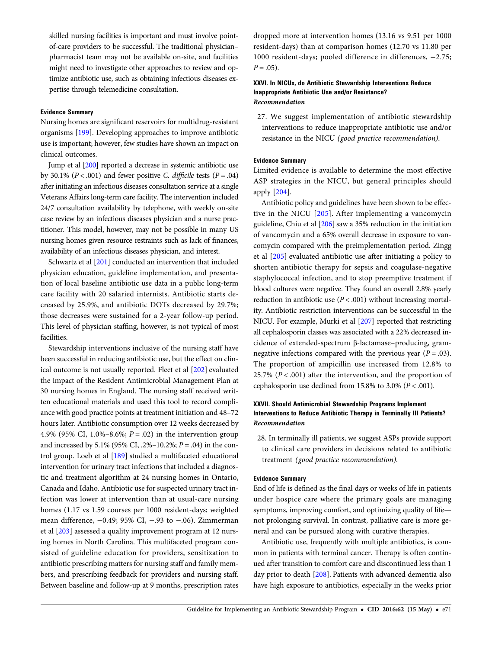skilled nursing facilities is important and must involve pointof-care providers to be successful. The traditional physician– pharmacist team may not be available on-site, and facilities might need to investigate other approaches to review and optimize antibiotic use, such as obtaining infectious diseases expertise through telemedicine consultation.

# Evidence Summary

Nursing homes are significant reservoirs for multidrug-resistant organisms [\[199\]](#page-26-0). Developing approaches to improve antibiotic use is important; however, few studies have shown an impact on clinical outcomes.

Jump et al [[200\]](#page-26-0) reported a decrease in systemic antibiotic use by 30.1% ( $P < .001$ ) and fewer positive C. difficile tests ( $P = .04$ ) after initiating an infectious diseases consultation service at a single Veterans Affairs long-term care facility. The intervention included 24/7 consultation availability by telephone, with weekly on-site case review by an infectious diseases physician and a nurse practitioner. This model, however, may not be possible in many US nursing homes given resource restraints such as lack of finances, availability of an infectious diseases physician, and interest.

Schwartz et al [\[201\]](#page-26-0) conducted an intervention that included physician education, guideline implementation, and presentation of local baseline antibiotic use data in a public long-term care facility with 20 salaried internists. Antibiotic starts decreased by 25.9%, and antibiotic DOTs decreased by 29.7%; those decreases were sustained for a 2-year follow-up period. This level of physician staffing, however, is not typical of most facilities.

Stewardship interventions inclusive of the nursing staff have been successful in reducing antibiotic use, but the effect on clinical outcome is not usually reported. Fleet et al [\[202](#page-26-0)] evaluated the impact of the Resident Antimicrobial Management Plan at 30 nursing homes in England. The nursing staff received written educational materials and used this tool to record compliance with good practice points at treatment initiation and 48–72 hours later. Antibiotic consumption over 12 weeks decreased by 4.9% (95% CI, 1.0%–8.6%;  $P = .02$ ) in the intervention group and increased by 5.1% (95% CI, .2%–10.2%;  $P = .04$ ) in the control group. Loeb et al [\[189\]](#page-26-0) studied a multifaceted educational intervention for urinary tract infections that included a diagnostic and treatment algorithm at 24 nursing homes in Ontario, Canada and Idaho. Antibiotic use for suspected urinary tract infection was lower at intervention than at usual-care nursing homes (1.17 vs 1.59 courses per 1000 resident-days; weighted mean difference, −0.49; 95% CI, −.93 to −.06). Zimmerman et al [\[203](#page-26-0)] assessed a quality improvement program at 12 nursing homes in North Carolina. This multifaceted program consisted of guideline education for providers, sensitization to antibiotic prescribing matters for nursing staff and family members, and prescribing feedback for providers and nursing staff. Between baseline and follow-up at 9 months, prescription rates dropped more at intervention homes (13.16 vs 9.51 per 1000 resident-days) than at comparison homes (12.70 vs 11.80 per 1000 resident-days; pooled difference in differences, −2.75;  $P = .05$ ).

#### XXVI. In NICUs, do Antibiotic Stewardship Interventions Reduce Inappropriate Antibiotic Use and/or Resistance? Recommendation

27. We suggest implementation of antibiotic stewardship interventions to reduce inappropriate antibiotic use and/or resistance in the NICU (good practice recommendation).

#### Evidence Summary

Limited evidence is available to determine the most effective ASP strategies in the NICU, but general principles should apply [[204\]](#page-26-0).

Antibiotic policy and guidelines have been shown to be effective in the NICU [[205\]](#page-26-0). After implementing a vancomycin guideline, Chiu et al [[206](#page-26-0)] saw a 35% reduction in the initiation of vancomycin and a 65% overall decrease in exposure to vancomycin compared with the preimplementation period. Zingg et al [\[205](#page-26-0)] evaluated antibiotic use after initiating a policy to shorten antibiotic therapy for sepsis and coagulase-negative staphylococcal infection, and to stop preemptive treatment if blood cultures were negative. They found an overall 2.8% yearly reduction in antibiotic use  $(P < .001)$  without increasing mortality. Antibiotic restriction interventions can be successful in the NICU. For example, Murki et al [\[207\]](#page-26-0) reported that restricting all cephalosporin classes was associated with a 22% decreased incidence of extended-spectrum β-lactamase–producing, gramnegative infections compared with the previous year ( $P = .03$ ). The proportion of ampicillin use increased from 12.8% to 25.7% ( $P < .001$ ) after the intervention, and the proportion of cephalosporin use declined from 15.8% to 3.0%  $(P < .001)$ .

# XXVII. Should Antimicrobial Stewardship Programs Implement Interventions to Reduce Antibiotic Therapy in Terminally Ill Patients? Recommendation

28. In terminally ill patients, we suggest ASPs provide support to clinical care providers in decisions related to antibiotic treatment (good practice recommendation).

#### Evidence Summary

End of life is defined as the final days or weeks of life in patients under hospice care where the primary goals are managing symptoms, improving comfort, and optimizing quality of life not prolonging survival. In contrast, palliative care is more general and can be pursued along with curative therapies.

Antibiotic use, frequently with multiple antibiotics, is common in patients with terminal cancer. Therapy is often continued after transition to comfort care and discontinued less than 1 day prior to death [[208](#page-26-0)]. Patients with advanced dementia also have high exposure to antibiotics, especially in the weeks prior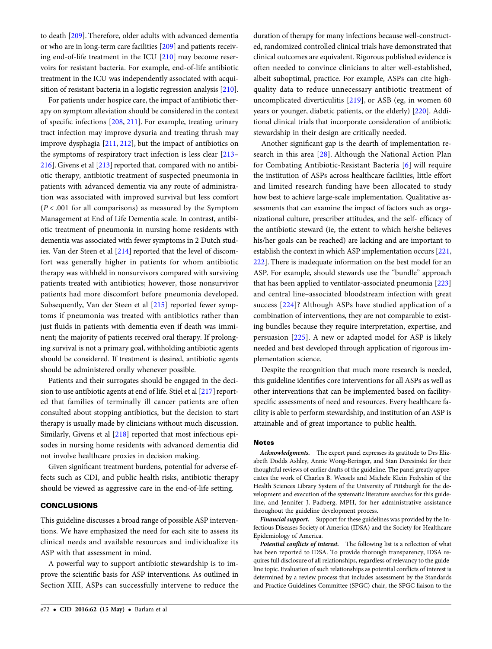to death [[209](#page-26-0)]. Therefore, older adults with advanced dementia or who are in long-term care facilities [[209](#page-26-0)] and patients receiving end-of-life treatment in the ICU [[210](#page-26-0)] may become reservoirs for resistant bacteria. For example, end-of-life antibiotic treatment in the ICU was independently associated with acquisition of resistant bacteria in a logistic regression analysis [[210\]](#page-26-0).

For patients under hospice care, the impact of antibiotic therapy on symptom alleviation should be considered in the context of specific infections [[208](#page-26-0), [211\]](#page-26-0). For example, treating urinary tract infection may improve dysuria and treating thrush may improve dysphagia [[211,](#page-26-0) [212\]](#page-26-0), but the impact of antibiotics on the symptoms of respiratory tract infection is less clear [\[213](#page-26-0)– [216\]](#page-26-0). Givens et al [\[213\]](#page-26-0) reported that, compared with no antibiotic therapy, antibiotic treatment of suspected pneumonia in patients with advanced dementia via any route of administration was associated with improved survival but less comfort  $(P < .001$  for all comparisons) as measured by the Symptom Management at End of Life Dementia scale. In contrast, antibiotic treatment of pneumonia in nursing home residents with dementia was associated with fewer symptoms in 2 Dutch studies. Van der Steen et al [[214\]](#page-26-0) reported that the level of discomfort was generally higher in patients for whom antibiotic therapy was withheld in nonsurvivors compared with surviving patients treated with antibiotics; however, those nonsurvivor patients had more discomfort before pneumonia developed. Subsequently, Van der Steen et al [\[215\]](#page-26-0) reported fewer symptoms if pneumonia was treated with antibiotics rather than just fluids in patients with dementia even if death was imminent; the majority of patients received oral therapy. If prolonging survival is not a primary goal, withholding antibiotic agents should be considered. If treatment is desired, antibiotic agents should be administered orally whenever possible.

Patients and their surrogates should be engaged in the decision to use antibiotic agents at end of life. Stiel et al [\[217\]](#page-26-0) reported that families of terminally ill cancer patients are often consulted about stopping antibiotics, but the decision to start therapy is usually made by clinicians without much discussion. Similarly, Givens et al [\[218\]](#page-26-0) reported that most infectious episodes in nursing home residents with advanced dementia did not involve healthcare proxies in decision making.

Given significant treatment burdens, potential for adverse effects such as CDI, and public health risks, antibiotic therapy should be viewed as aggressive care in the end-of-life setting.

# **CONCLUSIONS**

This guideline discusses a broad range of possible ASP interventions. We have emphasized the need for each site to assess its clinical needs and available resources and individualize its ASP with that assessment in mind.

A powerful way to support antibiotic stewardship is to improve the scientific basis for ASP interventions. As outlined in Section XIII, ASPs can successfully intervene to reduce the duration of therapy for many infections because well-constructed, randomized controlled clinical trials have demonstrated that clinical outcomes are equivalent. Rigorous published evidence is often needed to convince clinicians to alter well-established, albeit suboptimal, practice. For example, ASPs can cite highquality data to reduce unnecessary antibiotic treatment of uncomplicated diverticulitis [[219\]](#page-26-0), or ASB (eg, in women 60 years or younger, diabetic patients, or the elderly) [[220\]](#page-26-0). Additional clinical trials that incorporate consideration of antibiotic stewardship in their design are critically needed.

Another significant gap is the dearth of implementation research in this area [[28](#page-22-0)]. Although the National Action Plan for Combating Antibiotic-Resistant Bacteria [[6\]](#page-22-0) will require the institution of ASPs across healthcare facilities, little effort and limited research funding have been allocated to study how best to achieve large-scale implementation. Qualitative assessments that can examine the impact of factors such as organizational culture, prescriber attitudes, and the self- efficacy of the antibiotic steward (ie, the extent to which he/she believes his/her goals can be reached) are lacking and are important to establish the context in which ASP implementation occurs [\[221,](#page-26-0) [222\]](#page-26-0). There is inadequate information on the best model for an ASP. For example, should stewards use the "bundle" approach that has been applied to ventilator-associated pneumonia [[223\]](#page-26-0) and central line–associated bloodstream infection with great success [[224](#page-26-0)]? Although ASPs have studied application of a combination of interventions, they are not comparable to existing bundles because they require interpretation, expertise, and persuasion [[225\]](#page-26-0). A new or adapted model for ASP is likely needed and best developed through application of rigorous implementation science.

Despite the recognition that much more research is needed, this guideline identifies core interventions for all ASPs as well as other interventions that can be implemented based on facilityspecific assessments of need and resources. Every healthcare facility is able to perform stewardship, and institution of an ASP is attainable and of great importance to public health.

#### Notes

Acknowledgments. The expert panel expresses its gratitude to Drs Elizabeth Dodds Ashley, Annie Wong-Beringer, and Stan Deresinski for their thoughtful reviews of earlier drafts of the guideline. The panel greatly appreciates the work of Charles B. Wessels and Michele Klein Fedyshin of the Health Sciences Library System of the University of Pittsburgh for the development and execution of the systematic literature searches for this guideline, and Jennifer J. Padberg, MPH, for her administrative assistance throughout the guideline development process.

Financial support. Support for these guidelines was provided by the Infectious Diseases Society of America (IDSA) and the Society for Healthcare Epidemiology of America.

Potential conflicts of interest. The following list is a reflection of what has been reported to IDSA. To provide thorough transparency, IDSA requires full disclosure of all relationships, regardless of relevancy to the guideline topic. Evaluation of such relationships as potential conflicts of interest is determined by a review process that includes assessment by the Standards and Practice Guidelines Committee (SPGC) chair, the SPGC liaison to the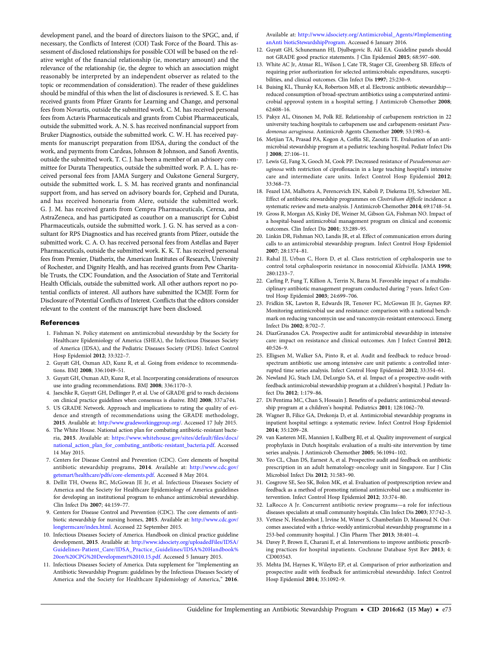<span id="page-22-0"></span>development panel, and the board of directors liaison to the SPGC, and, if necessary, the Conflicts of Interest (COI) Task Force of the Board. This assessment of disclosed relationships for possible COI will be based on the relative weight of the financial relationship (ie, monetary amount) and the relevance of the relationship (ie, the degree to which an association might reasonably be interpreted by an independent observer as related to the topic or recommendation of consideration). The reader of these guidelines should be mindful of this when the list of disclosures is reviewed. S. E. C. has received grants from Pfizer Grants for Learning and Change, and personal fees from Novartis, outside the submitted work. C. M. has received personal fees from Actavis Pharmaceuticals and grants from Cubist Pharmaceuticals, outside the submitted work. A. N. S. has received nonfinancial support from Bruker Diagnostics, outside the submitted work. C. W. H. has received payments for manuscript preparation from IDSA, during the conduct of the work, and payments from Cardeas, Johnson & Johnson, and Sanofi Aventis, outside the submitted work. T. C. J. has been a member of an advisory committee for Durata Therapeutics, outside the submitted work. P. A. L. has received personal fees from JAMA Surgery and Oakstone General Surgery, outside the submitted work. L. S. M. has received grants and nonfinancial support from, and has served on advisory boards for, Cepheid and Durata, and has received honoraria from Alere, outside the submitted work. G. J. M. has received grants from Cempra Pharmaceuticals, Cerexa, and AstraZeneca, and has participated as coauthor on a manuscript for Cubist Pharmaceuticals, outside the submitted work. J. G. N. has served as a consultant for RPS Diagnostics and has received grants from Pfizer, outside the submitted work. C. A. O. has received personal fees from Astellas and Bayer Pharmaceuticals, outside the submitted work. K. K. T. has received personal fees from Premier, Diatherix, the American Institutes of Research, University of Rochester, and Dignity Health, and has received grants from Pew Charitable Trusts, the CDC Foundation, and the Association of State and Territorial Health Officials, outside the submitted work. All other authors report no potential conflicts of interest. All authors have submitted the ICMJE Form for Disclosure of Potential Conflicts of Interest. Conflicts that the editors consider relevant to the content of the manuscript have been disclosed.

#### References

- 1. Fishman N. Policy statement on amtimicrobial stewardship by the Society for Healthcare Epidemiology of America (SHEA), the Infectious Diseases Society of America (IDSA), and the Pediatric Diseases Society (PIDS). Infect Control Hosp Epidemiol 2012; 33:322–7.
- 2. Guyatt GH, Oxman AD, Kunz R, et al. Going from evidence to recommendations. BMJ 2008; 336:1049–51.
- 3. Guyatt GH, Oxman AD, Kunz R, et al. Incorporating considerations of resources use into grading recommendations. BMJ 2008; 336:1170–3.
- 4. Jaeschke R, Guyatt GH, Dellinger P, et al. Use of GRADE grid to reach decisions on clinical practice guidelines when consensus is elusive. BMJ 2008; 337:a744.
- 5. US GRADE Network. Approach and implications to rating the quality of evidence and strength of recommendations using the GRADE methodology, 2015. Available at: [http://www.gradeworkinggroup.org/.](http://www.gradeworkinggroup.org/) Accessed 17 July 2015.
- 6. The White House. National action plan for combating antibiotic-resistant bacteria, 2015. Available at: [https://www.whitehouse.gov/sites/default/](https://www.whitehouse.gov/sites/default/files/docs/national_action_plan_for_combating_antibotic-resistant_bacteria.pdf)files/docs/ [national\\_action\\_plan\\_for\\_combating\\_antibotic-resistant\\_bacteria.pdf.](https://www.whitehouse.gov/sites/default/files/docs/national_action_plan_for_combating_antibotic-resistant_bacteria.pdf) Accessed 14 May 2015.
- 7. Centers for Disease Control and Prevention (CDC). Core elements of hospital antibiotic stewardship programs, 2014. Available at: [http://www.cdc.gov/](http://www.cdc.gov/getsmart/healthcare/pdfs/core-elements.pdf) [getsmart/healthcare/pdfs/core-elements.pdf.](http://www.cdc.gov/getsmart/healthcare/pdfs/core-elements.pdf) Accessed 8 May 2014.
- 8. Dellit TH, Owens RC, McGowan JE Jr, et al. Infectious Diseases Society of America and the Society for Healthcare Epidemiology of America guidelines for developing an institutional program to enhance antimicrobial stewardship. Clin Infect Dis 2007; 44:159–77.
- 9. Centers for Disease Control and Prevention (CDC). The core elements of antibiotic stewardship for nursing homes, 2015. Available at: [http://www.cdc.gov/](http://www.cdc.gov/longtermcare/index.html) [longtermcare/index.html.](http://www.cdc.gov/longtermcare/index.html) Accessed 22 September 2015.
- 10. Infectious Diseases Society of America. Handbook on clinical practice guideline development, 2015. Available at: [http://www.idsociety.org/uploadedFiles/IDSA/](http://www.idsociety.org/uploadedFiles/IDSA/Guidelines-Patient_Care/IDSA_Practice_Guidelines/IDSA%20Handbook%20on%20CPG%20Development%2010.15.pdf) [Guidelines-Patient\\_Care/IDSA\\_Practice\\_Guidelines/IDSA%20Handbook%](http://www.idsociety.org/uploadedFiles/IDSA/Guidelines-Patient_Care/IDSA_Practice_Guidelines/IDSA%20Handbook%20on%20CPG%20Development%2010.15.pdf) [20on%20CPG%20Development%2010.15.pdf](http://www.idsociety.org/uploadedFiles/IDSA/Guidelines-Patient_Care/IDSA_Practice_Guidelines/IDSA%20Handbook%20on%20CPG%20Development%2010.15.pdf). Accessed 5 January 2015.
- 11. Infectious Diseases Society of America. Data supplement for "Implementing an Antibiotic Stewardship Program: guidelines by the Infectious Diseases Society of America and the Society for Healthcare Epidemiology of America," 2016.

Available at: [http://www.idsociety.org/Antimicrobial\\_Agents/#Implementing](http://www.idsociety.org/Antimicrobial_Agents/#ImplementinganAntibioticStewardshipProgram) [anAnti bioticStewardshipProgram.](http://www.idsociety.org/Antimicrobial_Agents/#ImplementinganAntibioticStewardshipProgram) Accessed 6 January 2016.

- 12. Guyatt GH, Schunemann HJ, Djulbegovic B, Akl EA. Guideline panels should not GRADE good practice statements. J Clin Epidemiol 2015; 68:597–600.
- 13. White AC Jr, Atmar RL, Wilson J, Cate TR, Stager CE, Greenberg SB. Effects of requiring prior authorization for selected antimicrobials: expenditures, susceptibilities, and clinical outcomes. Clin Infect Dis 1997; 25:230–9.
- 14. Buising KL, Thursky KA, Robertson MB, et al. Electronic antibiotic stewardship reduced consumption of broad-spectrum antibiotics using a computerized antimicrobial approval system in a hospital setting. J Antimicrob Chemother 2008; 62:608–16.
- 15. Pakyz AL, Oinonen M, Polk RE. Relationship of carbapenem restriction in 22 university teaching hospitals to carbapenem use and carbapenem-resistant Pseudomonas aeruginosa. Antimicrob Agents Chemother 2009; 53:1983–6.
- 16. Metjian TA, Prasad PA, Kogon A, Coffin SE, Zaoutis TE. Evaluation of an antimicrobial stewardship program at a pediatric teaching hospital. Pediatr Infect Dis J 2008; 27:106–11.
- 17. Lewis GJ, Fang X, Gooch M, Cook PP. Decreased resistance of Pseudomonas aeruginosa with restriction of ciprofloxacin in a large teaching hospital's intensive care and intermediate care units. Infect Control Hosp Epidemiol 2012; 33:368–73.
- 18. Feazel LM, Malhotra A, Perencevich EN, Kaboli P, Diekema DJ, Schweizer ML. Effect of antibiotic stewardship programmes on Clostridium difficile incidence: a systematic review and meta-analysis. J Antimicrob Chemother 2014; 69:1748–54.
- 19. Gross R, Morgan AS, Kinky DE, Weiner M, Gibson GA, Fishman NO. Impact of a hospital-based antimicrobial management program on clinical and economic outcomes. Clin Infect Dis 2001; 33:289–95.
- 20. Linkin DR, Fishman NO, Landis JR, et al. Effect of communication errors during calls to an antimicrobial stewardship program. Infect Control Hosp Epidemiol 2007; 28:1374–81.
- 21. Rahal JJ, Urban C, Horn D, et al. Class restriction of cephalosporin use to control total cephalosporin resistance in nosocomial Klebsiella. JAMA 1998; 280:1233–7.
- 22. Carling P, Fung T, Killion A, Terrin N, Barza M. Favorable impact of a multidisciplinary antibiotic management program conducted during 7 years. Infect Control Hosp Epidemiol 2003; 24:699–706.
- 23. Fridkin SK, Lawton R, Edwards JR, Tenover FC, McGowan JE Jr, Gaynes RP. Monitoring antimicrobial use and resistance: comparison with a national benchmark on reducing vancomycin use and vancomycin-resistant enterococci. Emerg Infect Dis 2002; 8:702–7.
- 24. DiazGranados CA. Prospective audit for antimicrobial stewardship in intensive care: impact on resistance and clinical outcomes. Am J Infect Control 2012; 40:526–9.
- 25. Elligsen M, Walker SA, Pinto R, et al. Audit and feedback to reduce broadspectrum antibiotic use among intensive care unit patients: a controlled interrupted time series analysis. Infect Control Hosp Epidemiol 2012; 33:354–61.
- 26. Newland JG, Stach LM, DeLurgio SA, et al. Impact of a prospective-audit-with feedback antimicrobial stewardship program at a children's hospital. J Pediatr Infect Dis 2012; 1:179–86.
- 27. Di Pentima MC, Chan S, Hossain J. Benefits of a pediatric antimicrobial stewardship program at a children's hospital. Pediatrics 2011; 128:1062–70.
- 28. Wagner B, Filice GA, Drekonja D, et al. Antimicrobial stewardship programs in inpatient hospital settings: a systematic review. Infect Control Hosp Epidemiol 2014; 35:1209–28.
- 29. van Kasteren ME, Mannien J, Kullberg BJ, et al. Quality improvement of surgical prophylaxis in Dutch hospitals: evaluation of a multi-site intervention by time series analysis. J Antimicrob Chemother 2005; 56:1094–102.
- 30. Yeo CL, Chan DS, Earnest A, et al. Prospective audit and feedback on antibiotic prescription in an adult hematology-oncology unit in Singapore. Eur J Clin Microbiol Infect Dis 2012; 31:583–90.
- 31. Cosgrove SE, Seo SK, Bolon MK, et al. Evaluation of postprescription review and feedback as a method of promoting rational antimicrobial use: a multicenter intervention. Infect Control Hosp Epidemiol 2012; 33:374–80.
- 32. LaRocco A Jr. Concurrent antibiotic review programs—a role for infectious diseases specialists at small community hospitals. Clin Infect Dis 2003; 37:742–3.
- 33. Vettese N, Hendershot J, Irvine M, Wimer S, Chamberlain D, Massoud N. Outcomes associated with a thrice-weekly antimicrobial stewardship programme in a 253-bed community hospital. J Clin Pharm Ther 2013; 38:401–4.
- 34. Davey P, Brown E, Charani E, et al. Interventions to improve antibiotic prescribing practices for hospital inpatients. Cochrane Database Syst Rev 2013; 4: CD003543.
- 35. Mehta JM, Haynes K, Wileyto EP, et al. Comparison of prior authorization and prospective audit with feedback for antimicrobial stewardship. Infect Control Hosp Epidemiol 2014; 35:1092–9.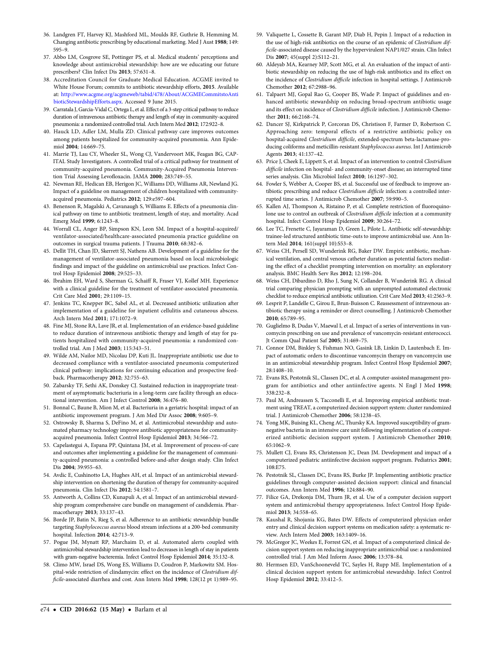- <span id="page-23-0"></span>36. Landgren FT, Harvey KJ, Mashford ML, Moulds RF, Guthrie B, Hemming M. Changing antibiotic prescribing by educational marketing. Med J Aust 1988; 149: 595–9.
- 37. Abbo LM, Cosgrove SE, Pottinger PS, et al. Medical students' perceptions and knowledge about antimicrobial stewardship: how are we educating our future prescribers? Clin Infect Dis 2013; 57:631–8.
- 38. Accreditation Council for Graduate Medical Education. ACGME invited to White House Forum; commits to antibiotic stewardship efforts, 2015. Available at: [http://www.acgme.org/acgmeweb/tabid/478/About/ACGMECommitstoAnti](http://www.acgme.org/acgmeweb/tabid/478/About/ACGMECommitstoAntibioticStewardshipEfforts.aspx) [bioticStewardshipEfforts.aspx](http://www.acgme.org/acgmeweb/tabid/478/About/ACGMECommitstoAntibioticStewardshipEfforts.aspx). Accessed 9 June 2015.
- 39. Carratala J, Garcia-Vidal C, Ortega L, et al. Effect of a 3-step critical pathway to reduce duration of intravenous antibiotic therapy and length of stay in community-acquired pneumonia: a randomized controlled trial. Arch Intern Med 2012; 172:922–8.
- 40. Hauck LD, Adler LM, Mulla ZD. Clinical pathway care improves outcomes among patients hospitalized for community-acquired pneumonia. Ann Epidemiol 2004; 14:669–75.
- 41. Marrie TJ, Lau CY, Wheeler SL, Wong CJ, Vandervoort MK, Feagan BG, CAP-ITAL Study Investigators. A controlled trial of a critical pathway for treatment of community-acquired pneumonia. Community-Acquired Pneumonia Intervention Trial Assessing Levofloxacin. JAMA 2000; 283:749–55.
- 42. Newman RE, Hedican EB, Herigon JC, Williams DD, Williams AR, Newland JG. Impact of a guideline on management of children hospitalized with communityacquired pneumonia. Pediatrics 2012; 129:e597–604.
- 43. Benenson R, Magalski A, Cavanaugh S, Williams E. Effects of a pneumonia clinical pathway on time to antibiotic treatment, length of stay, and mortality. Acad Emerg Med 1999; 6:1243–8.
- 44. Worrall CL, Anger BP, Simpson KN, Leon SM. Impact of a hospital-acquired/ ventilator-associated/healthcare-associated pneumonia practice guideline on outcomes in surgical trauma patients. J Trauma 2010; 68:382–6.
- 45. Dellit TH, Chan JD, Skerrett SJ, Nathens AB. Development of a guideline for the management of ventilator-associated pneumonia based on local microbiologic findings and impact of the guideline on antimicrobial use practices. Infect Control Hosp Epidemiol 2008; 29:525–33.
- 46. Ibrahim EH, Ward S, Sherman G, Schaiff R, Fraser VJ, Kollef MH. Experience with a clinical guideline for the treatment of ventilator-associated pneumonia. Crit Care Med 2001; 29:1109–15.
- 47. Jenkins TC, Knepper BC, Sabel AL, et al. Decreased antibiotic utilization after implementation of a guideline for inpatient cellulitis and cutaneous abscess. Arch Intern Med 2011; 171:1072–9.
- 48. Fine MJ, Stone RA, Lave JR, et al. Implementation of an evidence-based guideline to reduce duration of intravenous antibiotic therapy and length of stay for patients hospitalized with community-acquired pneumonia: a randomized controlled trial. Am J Med 2003; 115:343–51.
- 49. Wilde AM, Nailor MD, Nicolau DP, Kuti JL. Inappropriate antibiotic use due to decreased compliance with a ventilator-associated pneumonia computerized clinical pathway: implications for continuing education and prospective feedback. Pharmacotherapy 2012; 32:755–63.
- 50. Zabarsky TF, Sethi AK, Donskey CJ. Sustained reduction in inappropriate treatment of asymptomatic bacteriuria in a long-term care facility through an educational intervention. Am J Infect Control 2008; 36:476–80.
- 51. Bonnal C, Baune B, Mion M, et al. Bacteriuria in a geriatric hospital: impact of an antibiotic improvement program. J Am Med Dir Assoc 2008; 9:605–9.
- 52. Ostrowsky B, Sharma S, DeFino M, et al. Antimicrobial stewardship and automated pharmacy technology improve antibiotic appropriateness for communityacquired pneumonia. Infect Control Hosp Epidemiol 2013; 34:566–72.
- 53. Capelastegui A, Espana PP, Quintana JM, et al. Improvement of process-of-care and outcomes after implementing a guideline for the management of community-acquired pneumonia: a controlled before-and-after design study. Clin Infect Dis 2004; 39:955–63.
- 54. Avdic E, Cushinotto LA, Hughes AH, et al. Impact of an antimicrobial stewardship intervention on shortening the duration of therapy for community-acquired pneumonia. Clin Infect Dis 2012; 54:1581–7.
- 55. Antworth A, Collins CD, Kunapuli A, et al. Impact of an antimicrobial stewardship program comprehensive care bundle on management of candidemia. Pharmacotherapy 2013; 33:137–43.
- 56. Borde JP, Batin N, Rieg S, et al. Adherence to an antibiotic stewardship bundle targeting Staphylococcus aureus blood stream infections at a 200-bed community hospital. Infection 2014; 42:713–9.
- 57. Pogue JM, Mynatt RP, Marchaim D, et al. Automated alerts coupled with antimicrobial stewardship intervention lead to decreases in length of stay in patients with gram-negative bacteremia. Infect Control Hosp Epidemiol 2014; 35:132–8.
- 58. Climo MW, Israel DS, Wong ES, Williams D, Coudron P, Markowitz SM. Hospital-wide restriction of clindamycin: effect on the incidence of Clostridium difficile-associated diarrhea and cost. Ann Intern Med 1998; 128(12 pt 1):989–95.
- 59. Valiquette L, Cossette B, Garant MP, Diab H, Pepin J. Impact of a reduction in the use of high-risk antibiotics on the course of an epidemic of Clostridium difficile-associated disease caused by the hypervirulent NAP1/027 strain. Clin Infect Dis 2007; 45(suppl 2):S112–21.
- 60. Aldeyab MA, Kearney MP, Scott MG, et al. An evaluation of the impact of antibiotic stewardship on reducing the use of high-risk antibiotics and its effect on the incidence of Clostridium difficile infection in hospital settings. J Antimicrob Chemother 2012; 67:2988–96.
- 61. Talpaert MJ, Gopal Rao G, Cooper BS, Wade P. Impact of guidelines and enhanced antibiotic stewardship on reducing broad-spectrum antibiotic usage and its effect on incidence of Clostridium difficile infection. J Antimicrob Chemother 2011; 66:2168–74.
- 62. Dancer SJ, Kirkpatrick P, Corcoran DS, Christison F, Farmer D, Robertson C. Approaching zero: temporal effects of a restrictive antibiotic policy on hospital-acquired Clostridium difficile, extended-spectrum beta-lactamase-producing coliforms and meticillin-resistant Staphylococcus aureus. Int J Antimicrob Agents 2013; 41:137–42.
- 63. Price J, Cheek E, Lippett S, et al. Impact of an intervention to control Clostridium difficile infection on hospital- and community-onset disease; an interrupted time series analysis. Clin Microbiol Infect 2010; 16:1297–302.
- 64. Fowler S, Webber A, Cooper BS, et al. Successful use of feedback to improve antibiotic prescribing and reduce Clostridium difficile infection: a controlled interrupted time series. J Antimicrob Chemother 2007; 59:990–5.
- 65. Kallen AJ, Thompson A, Ristaino P, et al. Complete restriction of fluoroquinolone use to control an outbreak of Clostridium difficile infection at a community hospital. Infect Control Hosp Epidemiol 2009; 30:264–72.
- Lee TC, Frenette C, Jayaraman D, Green L, Pilote L. Antibiotic self-stewardship: trainee-led structured antibiotic time-outs to improve antimicrobial use. Ann Intern Med 2014; 161(suppl 10):S53–8.
- 67. Weiss CH, Persell SD, Wunderink RG, Baker DW. Empiric antibiotic, mechanical ventilation, and central venous catheter duration as potential factors mediating the effect of a checklist prompting intervention on mortality: an exploratory analysis. BMC Health Serv Res 2012; 12:198–204.
- 68. Weiss CH, Dibardino D, Rho J, Sung N, Collander B, Wunderink RG. A clinical trial comparing physician prompting with an unprompted automated electronic checklist to reduce empirical antibiotic utilization. Crit Care Med 2013; 41:2563–9.
- 69. Lesprit P, Landelle C, Girou E, Brun-Buisson C. Reassessment of intravenous antibiotic therapy using a reminder or direct counselling. J Antimicrob Chemother 2010; 65:789–95.
- 70. Guglielmo B, Dudas V, Maewal I, et al. Impact of a series of interventions in vancomycin prescribing on use and prevalence of vancomycin-resistant enterococci. Jt Comm Qual Patient Saf 2005; 31:469–75.
- 71. Connor DM, Binkley S, Fishman NO, Gasink LB, Linkin D, Lautenbach E. Impact of automatic orders to discontinue vancomycin therapy on vancomycin use in an antimicrobial stewardship program. Infect Control Hosp Epidemiol 2007; 28:1408–10.
- 72. Evans RS, Pestotnik SL, Classen DC, et al. A computer-assisted management program for antibiotics and other antiinfective agents. N Engl J Med 1998; 338:232–8.
- 73. Paul M, Andreassen S, Tacconelli E, et al. Improving empirical antibiotic treatment using TREAT, a computerized decision support system: cluster randomized trial. J Antimicrob Chemother 2006; 58:1238–45.
- 74. Yong MK, Buising KL, Cheng AC, Thursky KA. Improved susceptibility of gramnegative bacteria in an intensive care unit following implementation of a computerized antibiotic decision support system. J Antimicrob Chemother 2010; 65:1062–9.
- 75. Mullett CJ, Evans RS, Christenson JC, Dean JM. Development and impact of a computerized pediatric antiinfective decision support program. Pediatrics 2001; 108:E75.
- 76. Pestotnik SL, Classen DC, Evans RS, Burke JP. Implementing antibiotic practice guidelines through computer-assisted decision support: clinical and financial outcomes. Ann Intern Med 1996; 124:884–90.
- 77. Filice GA, Drekonja DM, Thurn JR, et al. Use of a computer decision support system and antimicrobial therapy appropriateness. Infect Control Hosp Epidemiol 2013; 34:558–65.
- 78. Kaushal R, Shojania KG, Bates DW. Effects of computerized physician order entry and clinical decision support systems on medication safety: a systematic review. Arch Intern Med 2003; 163:1409–16.
- 79. McGregor JC, Weekes E, Forrest GN, et al. Impact of a computerized clinical decision support system on reducing inappropriate antimicrobial use: a randomized controlled trial. J Am Med Inform Assoc 2006; 13:378–84.
- 80. Hermsen ED, VanSchooneveld TC, Sayles H, Rupp ME. Implementation of a clinical decision support system for antimicrobial stewardship. Infect Control Hosp Epidemiol 2012; 33:412–5.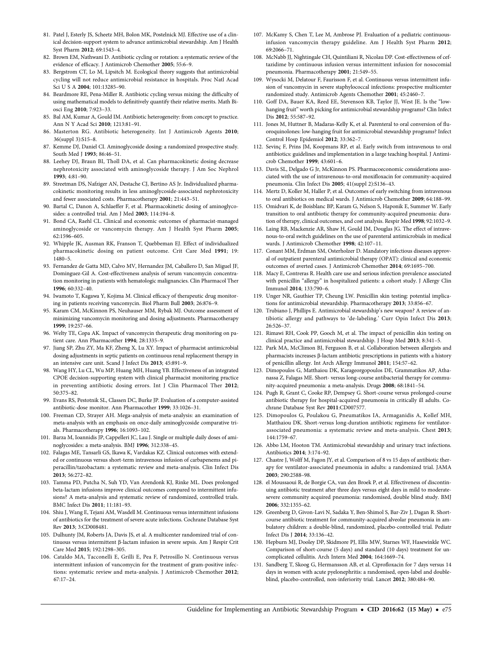- <span id="page-24-0"></span>81. Patel J, Esterly JS, Scheetz MH, Bolon MK, Postelnick MJ. Effective use of a clinical decision-support system to advance antimicrobial stewardship. Am J Health Syst Pharm 2012; 69:1543–4.
- 82. Brown EM, Nathwani D. Antibiotic cycling or rotation: a systematic review of the evidence of efficacy. J Antimicrob Chemother 2005; 55:6–9.
- 83. Bergstrom CT, Lo M, Lipsitch M. Ecological theory suggests that antimicrobial cycling will not reduce antimicrobial resistance in hospitals. Proc Natl Acad Sci U S A 2004; 101:13285–90.
- 84. Beardmore RE, Pena-Miller R. Antibiotic cycling versus mixing: the difficulty of using mathematical models to definitively quantify their relative merits. Math Biosci Eng 2010; 7:923–33.
- 85. Bal AM, Kumar A, Gould IM. Antibiotic heterogeneity: from concept to practice. Ann N Y Acad Sci 2010; 1213:81–91.
- 86. Masterton RG. Antibiotic heterogeneity. Int J Antimicrob Agents 2010; 36(suppl 3):S15–8.
- 87. Kemme DJ, Daniel CI. Aminoglycoside dosing: a randomized prospective study. South Med J 1993; 86:46-51.
- 88. Leehey DJ, Braun BI, Tholl DA, et al. Can pharmacokinetic dosing decrease nephrotoxicity associated with aminoglycoside therapy. J Am Soc Nephrol 1993; 4:81–90.
- 89. Streetman DS, Nafziger AN, Destache CJ, Bertino AS Jr. Individualized pharmacokinetic monitoring results in less aminoglycoside-associated nephrotoxicity and fewer associated costs. Pharmacotherapy 2001; 21:443–51.
- 90. Bartal C, Danon A, Schlaeffer F, et al. Pharmacokinetic dosing of aminoglycosides: a controlled trial. Am J Med 2003; 114:194–8.
- 91. Bond CA, Raehl CL. Clinical and economic outcomes of pharmacist-managed aminoglycoside or vancomycin therapy. Am J Health Syst Pharm 2005; 62:1596–605.
- 92. Whipple JK, Ausman RK, Franson T, Quebbeman EJ. Effect of individualized pharmacokinetic dosing on patient outcome. Crit Care Med 1991; 19: 1480–5.
- 93. Fernandez de Gatta MD, Calvo MV, Hernandez JM, Caballero D, San Miguel JF, Dominguez-Gil A. Cost-effectiveness analysis of serum vancomycin concentration monitoring in patients with hematologic malignancies. Clin Pharmacol Ther 1996; 60:332–40.
- 94. Iwamoto T, Kagawa Y, Kojima M. Clinical efficacy of therapeutic drug monitoring in patients receiving vancomycin. Biol Pharm Bull 2003; 26:876–9.
- 95. Karam CM, McKinnon PS, Neuhauser MM, Rybak MJ. Outcome assessment of minimizing vancomycin monitoring and dosing adjustments. Pharmacotherapy 1999; 19:257–66.
- 96. Welty TE, Copa AK. Impact of vancomycin therapeutic drug monitoring on patient care. Ann Pharmacother 1994; 28:1335–9.
- 97. Jiang SP, Zhu ZY, Ma KF, Zheng X, Lu XY. Impact of pharmacist antimicrobial dosing adjustments in septic patients on continuous renal replacement therapy in an intensive care unit. Scand J Infect Dis 2013; 45:891–9.
- 98. Wang HY, Lu CL, Wu MP, Huang MH, Huang YB. Effectiveness of an integrated CPOE decision-supporting system with clinical pharmacist monitoring practice in preventing antibiotic dosing errors. Int J Clin Pharmacol Ther 2012; 50:375–82.
- 99. Evans RS, Pestotnik SL, Classen DC, Burke JP. Evaluation of a computer-assisted antibiotic-dose monitor. Ann Pharmacother 1999; 33:1026–31.
- 100. Freeman CD, Strayer AH. Mega-analysis of meta-analysis: an examination of meta-analysis with an emphasis on once-daily aminoglycoside comparative trials. Pharmacotherapy 1996; 16:1093–102.
- 101. Barza M, Ioannidis JP, Cappelleri JC, Lau J. Single or multiple daily doses of aminoglycosides: a meta-analysis. BMJ 1996; 312:338–45.
- 102. Falagas ME, Tansarli GS, Ikawa K, Vardakas KZ. Clinical outcomes with extended or continuous versus short-term intravenous infusion of carbapenems and piperacillin/tazobactam: a systematic review and meta-analysis. Clin Infect Dis 2013; 56:272–82.
- 103. Tamma PD, Putcha N, Suh YD, Van Arendonk KJ, Rinke ML. Does prolonged beta-lactam infusions improve clinical outcomes compared to intermittent infusions? A meta-analysis and systematic review of randomized, controlled trials. BMC Infect Dis 2011; 11:181–93.
- 104. Shiu J, Wang E, Tejani AM, Wasdell M. Continuous versus intermittent infusions of antibiotics for the treatment of severe acute infections. Cochrane Database Syst Rev 2013; 3:CD008481.
- 105. Dulhunty JM, Roberts JA, Davis JS, et al. A multicenter randomized trial of continuous versus intermittent β-lactam infusion in severe sepsis. Am J Respir Crit Care Med 2015; 192:1298–305.
- 106. Cataldo MA, Tacconelli E, Grilli E, Pea F, Petrosillo N. Continuous versus intermittent infusion of vancomycin for the treatment of gram-positive infections: systematic review and meta-analysis. J Antimicrob Chemother 2012; 67:17–24.
- 107. McKamy S, Chen T, Lee M, Ambrose PJ. Evaluation of a pediatric continuousinfusion vancomycin therapy guideline. Am J Health Syst Pharm 2012; 69:2066–71.
- 108. McNabb JJ, Nightingale CH, Quintiliani R, Nicolau DP. Cost-effectiveness of ceftazidime by continuous infusion versus intermittent infusion for nosocomial pneumonia. Pharmacotherapy 2001; 21:549–55.
- 109. Wysocki M, Delatour F, Faurisson F, et al. Continuous versus intermittent infusion of vancomycin in severe staphylococcal infections: prospective multicenter randomized study. Antimicrob Agents Chemother 2001; 45:2460–7.
- 110. Goff DA, Bauer KA, Reed EE, Stevenson KB, Taylor JJ, West JE. Is the "lowhanging fruit" worth picking for antimicrobial stewardship programs? Clin Infect Dis 2012; 55:587–92.
- 111. Jones M, Huttner B, Madaras-Kelly K, et al. Parenteral to oral conversion of fluoroquinolones: low-hanging fruit for antimicrobial stewardship programs? Infect Control Hosp Epidemiol 2012; 33:362–7.
- 112. Sevinç F, Prins JM, Koopmans RP, et al. Early switch from intravenous to oral antibiotics: guidelines and implementation in a large teaching hospital. J Antimicrob Chemother 1999; 43:601–6.
- 113. Davis SL, Delgado G Jr, McKinnon PS. Pharmacoeconomic considerations associated with the use of intravenous-to-oral moxifloxacin for community-acquired pneumonia. Clin Infect Dis 2005; 41(suppl 2):S136–43.
- 114. Mertz D, Koller M, Haller P, et al. Outcomes of early switching from intravenous to oral antibiotics on medical wards. J Antimicrob Chemother 2009; 64:188–99.
- 115. Omidvari K, de Boisblanc BP, Karam G, Nelson S, Haponik E, Summer W. Early transition to oral antibiotic therapy for community-acquired pneumonia: duration of therapy, clinical outcomes, and cost analysis. Respir Med 1998; 92:1032–9.
- 116. Laing RB, Mackenzie AR, Shaw H, Gould IM, Douglas JG. The effect of intravenous-to-oral switch guidelines on the use of parenteral antimicrobials in medical wards. J Antimicrob Chemother 1998; 42:107–11.
- 117. Conant MM, Erdman SM, Osterholzer D. Mandatory infectious diseases approval of outpatient parenteral antimicrobial therapy (OPAT): clinical and economic outcomes of averted cases. J Antimicrob Chemother 2014; 69:1695–700.
- 118. Macy E, Contreras R. Health care use and serious infection prevalence associated with penicillin "allergy" in hospitalized patients: a cohort study. J Allergy Clin Immunol 2014; 133:790–6.
- 119. Unger NR, Gauthier TP, Cheung LW. Penicillin skin testing: potential implications for antimicrobial stewardship. Pharmacotherapy 2013; 33:856–67.
- 120. Trubiano J, Phillips E. Antimicrobial stewardship's new weapon? A review of antibiotic allergy and pathways to 'de-labeling.' Curr Opin Infect Dis 2013; 26:526–37.
- 121. Rimawi RH, Cook PP, Gooch M, et al. The impact of penicillin skin testing on clinical practice and antimicrobial stewardship. J Hosp Med 2013; 8:341–5.
- 122. Park MA, McClimon BJ, Ferguson B, et al. Collaboration between allergists and pharmacists increases β-lactam antibiotic prescriptions in patients with a history of penicillin allergy. Int Arch Allergy Immunol 2011; 154:57–62.
- 123. Dimopoulos G, Matthaiou DK, Karageorgopoulos DE, Grammatikos AP, Athanassa Z, Falagas ME. Short- versus long-course antibacterial therapy for community-acquired pneumonia: a meta-analysis. Drugs 2008; 68:1841–54.
- 124. Pugh R, Grant C, Cooke RP, Dempsey G. Short-course versus prolonged-course antibiotic therapy for hospital-acquired pneumonia in critically ill adults. Cochrane Database Syst Rev 2011:CD007577.
- 125. Dimopoulos G, Poulakou G, Pneumatikos IA, Armaganidis A, Kollef MH, Matthaiou DK. Short-versus long-duration antibiotic regimens for ventilatorassociated pneumonia: a systematic review and meta-analysis. Chest 2013; 144:1759–67.
- 126. Abbo LM, Hooton TM. Antimicrobial stewardship and urinary tract infections. Antibiotics 2014; 3:174–92.
- 127. Chastre J, Wolff M, Fagon JY, et al. Comparison of 8 vs 15 days of antibiotic therapy for ventilator-associated pneumonia in adults: a randomized trial. JAMA 2003; 290:2588–98.
- 128. el Moussaoui R, de Borgie CA, van den Broek P, et al. Effectiveness of discontinuing antibiotic treatment after three days versus eight days in mild to moderatesevere community acquired pneumonia: randomised, double blind study. BMJ 2006; 332:1355–62.
- 129. Greenberg D, Givon-Lavi N, Sadaka Y, Ben-Shimol S, Bar-Ziv J, Dagan R. Shortcourse antibiotic treatment for community-acquired alveolar pneumonia in ambulatory children: a double-blind, randomized, placebo-controlled trial. Pediatr Infect Dis J 2014; 33:136–42.
- 130. Hepburn MJ, Dooley DP, Skidmore PJ, Ellis MW, Starnes WF, Hasewinkle WC. Comparison of short-course (5 days) and standard (10 days) treatment for uncomplicated cellulitis. Arch Intern Med 2004; 164:1669–74.
- 131. Sandberg T, Skoog G, Hermansson AB, et al. Ciprofloxacin for 7 days versus 14 days in women with acute pyelonephritis: a randomised, open-label and doubleblind, placebo-controlled, non-inferiority trial. Lancet 2012; 380:484–90.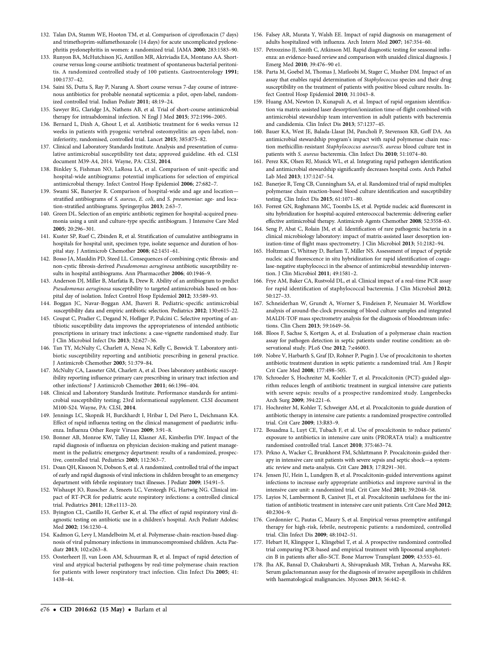- <span id="page-25-0"></span>132. Talan DA, Stamm WE, Hooton TM, et al. Comparison of ciprofloxacin (7 days) and trimethoprim-sulfamethoxazole (14 days) for acute uncomplicated pyelonephritis pyelonephritis in women: a randomized trial. JAMA 2000; 283:1583–90.
- 133. Runyon BA, McHutchison JG, Antillon MR, Akriviadis EA, Montano AA. Shortcourse versus long-course antibiotic treatment of spontaneous bacterial peritonitis. A randomized controlled study of 100 patients. Gastroenterology 1991; 100:1737–42.
- 134. Saini SS, Dutta S, Ray P, Narang A. Short course versus 7-day course of intravenous antibiotics for probable neonatal septicemia: a pilot, open-label, randomized controlled trial. Indian Pediatr 2011; 48:19–24.
- 135. Sawyer RG, Claridge JA, Nathens AB, et al. Trial of short-course antimicrobial therapy for intraabdominal infection. N Engl J Med 2015; 372:1996–2005.
- 136. Bernard L, Dinh A, Ghout I, et al. Antibiotic treatment for 6 weeks versus 12 weeks in patients with pyogenic vertebral osteomyelitis: an open-label, noninferiority, randomised, controlled trial. Lancet 2015; 385:875–82.
- 137. Clinical and Laboratory Standards Institute. Analysis and presentation of cumulative antimicrobial susceptibility test data; approved guideline. 4th ed. CLSI document M39-A4, 2014. Wayne, PA: CLSI, 2014.
- 138. Binkley S, Fishman NO, LaRosa LA, et al. Comparison of unit-specific and hospital-wide antibiograms: potential implications for selection of empirical antimicrobial therapy. Infect Control Hosp Epidemiol 2006; 27:682–7.
- 139. Swami SK, Banerjee R. Comparison of hospital-wide and age and location stratified antibiograms of S. aureus, E. coli, and S. pneumoniae: age- and location-stratified antibiograms. Springerplus 2013; 2:63–7.
- 140. Green DL. Selection of an empiric antibiotic regimen for hospital-acquired pneumonia using a unit and culture-type specific antibiogram. J Intensive Care Med 2005; 20:296–301.
- 141. Kuster SP, Ruef C, Zbinden R, et al. Stratification of cumulative antibiograms in hospitals for hospital unit, specimen type, isolate sequence and duration of hospital stay. J Antimicrob Chemother 2008; 62:1451–61.
- 142. Bosso JA, Mauldin PD, Steed LL. Consequences of combining cystic fibrosis- and non-cystic fibrosis-derived Pseudomonas aeruginosa antibiotic susceptibility results in hospital antibiograms. Ann Pharmacother 2006; 40:1946–9.
- 143. Anderson DJ, Miller B, Marfatia R, Drew R. Ability of an antibiogram to predict Pseudomonas aeruginosa susceptibility to targeted antimicrobials based on hospital day of isolation. Infect Control Hosp Epidemiol 2012; 33:589–93.
- 144. Boggan JC, Navar-Boggan AM, Jhaveri R. Pediatric-specific antimicrobial susceptibility data and empiric antibiotic selection. Pediatrics 2012; 130:e615–22.
- 145. Coupat C, Pradier C, Degand N, Hofliger P, Pulcini C. Selective reporting of antibiotic susceptibility data improves the appropriateness of intended antibiotic prescriptions in urinary tract infections: a case-vignette randomised study. Eur J Clin Microbiol Infect Dis 2013; 32:627–36.
- 146. Tan TY, McNulty C, Charlett A, Nessa N, Kelly C, Beswick T. Laboratory antibiotic susceptibility reporting and antibiotic prescribing in general practice. J Antimicrob Chemother 2003; 51:379–84.
- 147. McNulty CA, Lasseter GM, Charlett A, et al. Does laboratory antibiotic susceptibility reporting influence primary care prescribing in urinary tract infection and other infections? J Antimicrob Chemother 2011; 66:1396–404.
- 148. Clinical and Laboratory Standards Institute. Performance standards for antimicrobial susceptibility testing; 23rd informational supplement. CLSI document M100-S24. Wayne, PA: CLSI, 2014.
- 149. Jennings LC, Skopnik H, Burckhardt I, Hribar I, Del Piero L, Deichmann KA. Effect of rapid influenza testing on the clinical management of paediatric influenza. Influenza Other Respir Viruses 2009; 3:91–8.
- 150. Bonner AB, Monroe KW, Talley LI, Klasner AE, Kimberlin DW. Impact of the rapid diagnosis of influenza on physician decision-making and patient management in the pediatric emergency department: results of a randomized, prospective, controlled trial. Pediatrics 2003; 112:363–7.
- 151. Doan QH, Kissoon N, Dobson S, et al. A randomized, controlled trial of the impact of early and rapid diagnosis of viral infections in children brought to an emergency department with febrile respiratory tract illnesses. J Pediatr 2009; 154:91–5.
- 152. Wishaupt JO, Russcher A, Smeets LC, Versteegh FG, Hartwig NG. Clinical impact of RT-PCR for pediatric acute respiratory infections: a controlled clinical trial. Pediatrics 2011; 128:e1113–20.
- 153. Byington CL, Castillo H, Gerber K, et al. The effect of rapid respiratory viral diagnostic testing on antibiotic use in a children's hospital. Arch Pediatr Adolesc Med 2002; 156:1230–4.
- 154. Kadmon G, Levy I, Mandelboim M, et al. Polymerase-chain-reaction-based diagnosis of viral pulmonary infections in immunocompromised children. Acta Paediatr 2013; 102:e263–8.
- 155. Oosterheert JJ, van Loon AM, Schuurman R, et al. Impact of rapid detection of viral and atypical bacterial pathogens by real-time polymerase chain reaction for patients with lower respiratory tract infection. Clin Infect Dis 2005; 41: 1438–44.
- 156. Falsey AR, Murata Y, Walsh EE. Impact of rapid diagnosis on management of adults hospitalized with influenza. Arch Intern Med 2007; 167:354–60.
- 157. Petrozzino JJ, Smith C, Atkinson MJ. Rapid diagnostic testing for seasonal influenza: an evidence-based review and comparison with unaided clinical diagnosis. J Emerg Med 2010; 39:476–90 e1.
- 158. Parta M, Goebel M, Thomas J, Matloobi M, Stager C, Musher DM. Impact of an assay that enables rapid determination of Staphylococcus species and their drug susceptibility on the treatment of patients with positive blood culture results. Infect Control Hosp Epidemiol 2010; 31:1043–8.
- 159. Huang AM, Newton D, Kunapuli A, et al. Impact of rapid organism identification via matrix-assisted laser desorption/ionization time-of-flight combined with antimicrobial stewardship team intervention in adult patients with bacteremia and candidemia. Clin Infect Dis 2013; 57:1237–45.
- 160. Bauer KA, West JE, Balada-Llasat JM, Pancholi P, Stevenson KB, Goff DA. An antimicrobial stewardship program's impact with rapid polymerase chain reaction methicillin-resistant Staphylococcus aureus/S. aureus blood culture test in patients with S. aureus bacteremia. Clin Infect Dis 2010; 51:1074–80.
- 161. Perez KK, Olsen RJ, Musick WL, et al. Integrating rapid pathogen identification and antimicrobial stewardship significantly decreases hospital costs. Arch Pathol Lab Med 2013; 137:1247–54.
- 162. Banerjee R, Teng CB, Cunningham SA, et al. Randomized trial of rapid multiplex polymerase chain reaction-based blood culture identification and susceptibility testing. Clin Infect Dis 2015; 61:1071–80.
- 163. Forrest GN, Roghmann MC, Toombs LS, et al. Peptide nucleic acid fluorescent in situ hybridization for hospital-acquired enterococcal bacteremia: delivering earlier effective antimicrobial therapy. Antimicrob Agents Chemother 2008; 52:3558–63.
- 164. Seng P, Abat C, Rolain JM, et al. Identification of rare pathogenic bacteria in a clinical microbiology laboratory: impact of matrix-assisted laser desorption ionization-time of flight mass spectrometry. J Clin Microbiol 2013; 51:2182–94.
- 165. Holtzman C, Whitney D, Barlam T, Miller NS. Assessment of impact of peptide nucleic acid fluorescence in situ hybridization for rapid identification of coagulase-negative staphylococci in the absence of antimicrobial stewardship intervention. J Clin Microbiol 2011; 49:1581–2.
- 166. Frye AM, Baker CA, Rustvold DL, et al. Clinical impact of a real-time PCR assay for rapid identification of staphylococcal bacteremia. J Clin Microbiol 2012; 50:127–33.
- 167. Schneiderhan W, Grundt A, Worner S, Findeisen P, Neumaier M. Workflow analysis of around-the-clock processing of blood culture samples and integrated MALDI-TOF mass spectrometry analysis for the diagnosis of bloodstream infections. Clin Chem 2013; 59:1649–56.
- 168. Bloos F, Sachse S, Kortgen A, et al. Evaluation of a polymerase chain reaction assay for pathogen detection in septic patients under routine condition: an observational study. PLoS One 2012; 7:e46003.
- 169. Nobre V, Harbarth S, Graf JD, Rohner P, Pugin J. Use of procalcitonin to shorten antibiotic treatment duration in septic patients: a randomized trial. Am J Respir Crit Care Med 2008; 177:498–505.
- 170. Schroeder S, Hochreiter M, Koehler T, et al. Procalcitonin (PCT)-guided algorithm reduces length of antibiotic treatment in surgical intensive care patients with severe sepsis: results of a prospective randomized study. Langenbecks Arch Surg 2009; 394:221–6.
- 171. Hochreiter M, Kohler T, Schweiger AM, et al. Procalcitonin to guide duration of antibiotic therapy in intensive care patients: a randomized prospective controlled trial. Crit Care 2009; 13:R83–9.
- 172. Bouadma L, Luyt CE, Tubach F, et al. Use of procalcitonin to reduce patients' exposure to antibiotics in intensive care units (PRORATA trial): a multicentre randomised controlled trial. Lancet 2010; 375:463–74.
- 173. Prkno A, Wacker C, Brunkhorst FM, Schlattmann P. Procalcitonin-guided therapy in intensive care unit patients with severe sepsis and septic shock—a systematic review and meta-analysis. Crit Care 2013; 17:R291–301.
- 174. Jensen JU, Hein L, Lundgren B, et al. Procalcitonin-guided interventions against infections to increase early appropriate antibiotics and improve survival in the intensive care unit: a randomized trial. Crit Care Med 2011; 39:2048–58.
- 175. Layios N, Lambermont B, Canivet JL, et al. Procalcitonin usefulness for the initiation of antibiotic treatment in intensive care unit patients. Crit Care Med 2012; 40:2304–9.
- 176. Cordonnier C, Pautas C, Maury S, et al. Empirical versus preemptive antifungal therapy for high-risk, febrile, neutropenic patients: a randomized, controlled trial. Clin Infect Dis 2009; 48:1042–51.
- 177. Hebart H, Klingspor L, Klingebiel T, et al. A prospective randomized controlled trial comparing PCR-based and empirical treatment with liposomal amphotericin B in patients after allo-SCT. Bone Marrow Transplant 2009; 43:553–61.
- 178. Jha AK, Bansal D, Chakrabarti A, Shivaprakash MR, Trehan A, Marwaha RK. Serum galactomannan assay for the diagnosis of invasive aspergillosis in children with haematological malignancies. Mycoses 2013; 56:442–8.